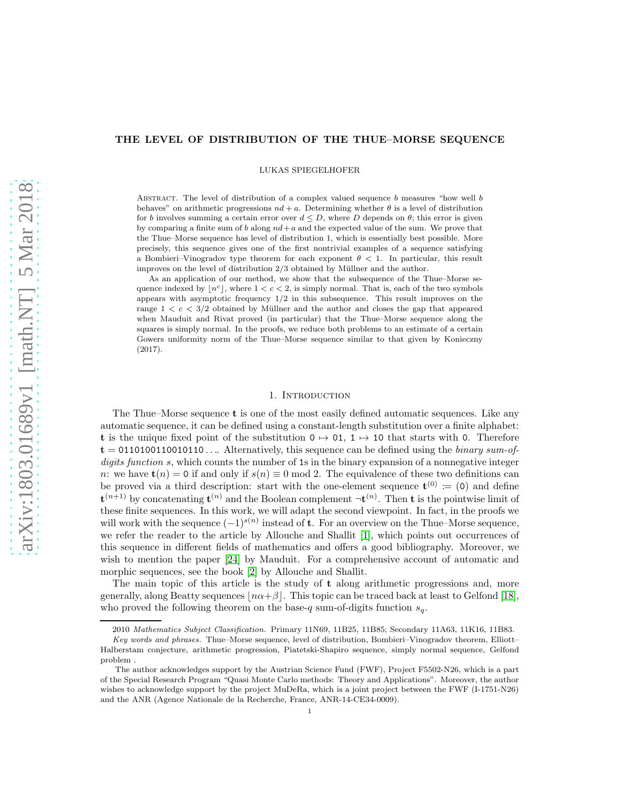# THE LEVEL OF DISTRIBUTION OF THE THUE–MORSE SEQUENCE

LUKAS SPIEGELHOFER

ABSTRACT. The level of distribution of a complex valued sequence  $b$  measures "how well  $b$ behaves" on arithmetic progressions  $nd + a$ . Determining whether  $\theta$  is a level of distribution for b involves summing a certain error over  $d \leq D$ , where D depends on  $\theta$ ; this error is given by comparing a finite sum of b along  $nd + a$  and the expected value of the sum. We prove that the Thue–Morse sequence has level of distribution 1, which is essentially best possible. More precisely, this sequence gives one of the first nontrivial examples of a sequence satisfying a Bombieri–Vinogradov type theorem for each exponent  $\theta < 1$ . In particular, this result improves on the level of distribution  $2/3$  obtained by Müllner and the author.

As an application of our method, we show that the subsequence of the Thue–Morse sequence indexed by  $\lfloor n^c \rfloor$ , where  $1 < c < 2$ , is simply normal. That is, each of the two symbols appears with asymptotic frequency 1/2 in this subsequence. This result improves on the range  $1 < c < 3/2$  obtained by Müllner and the author and closes the gap that appeared when Mauduit and Rivat proved (in particular) that the Thue–Morse sequence along the squares is simply normal. In the proofs, we reduce both problems to an estimate of a certain Gowers uniformity norm of the Thue–Morse sequence similar to that given by Konieczny (2017).

# 1. INTRODUCTION

The Thue–Morse sequence t is one of the most easily defined automatic sequences. Like any automatic sequence, it can be defined using a constant-length substitution over a finite alphabet: t is the unique fixed point of the substitution  $0 \mapsto 01$ ,  $1 \mapsto 10$  that starts with 0. Therefore  $t = 0110100110010110...$  Alternatively, this sequence can be defined using the *binary sum-of*digits function s, which counts the number of 1s in the binary expansion of a nonnegative integer n: we have  $t(n) = 0$  if and only if  $s(n) \equiv 0 \mod 2$ . The equivalence of these two definitions can be proved via a third description: start with the one-element sequence  $\mathbf{t}^{(0)} \coloneqq (0)$  and define  $\mathbf{t}^{(n+1)}$  by concatenating  $\mathbf{t}^{(n)}$  and the Boolean complement  $\neg \mathbf{t}^{(n)}$ . Then **t** is the pointwise limit of these finite sequences. In this work, we will adapt the second viewpoint. In fact, in the proofs we will work with the sequence  $(-1)^{s(n)}$  instead of **t**. For an overview on the Thue–Morse sequence, we refer the reader to the article by Allouche and Shallit [\[1\]](#page-20-0), which points out occurrences of this sequence in different fields of mathematics and offers a good bibliography. Moreover, we wish to mention the paper [\[24\]](#page-21-0) by Mauduit. For a comprehensive account of automatic and morphic sequences, see the book [\[2\]](#page-20-1) by Allouche and Shallit.

The main topic of this article is the study of  $t$  along arithmetic progressions and, more generally, along Beatty sequences  $|n\alpha+\beta|$ . This topic can be traced back at least to Gelfond [\[18\]](#page-21-1), who proved the following theorem on the base-q sum-of-digits function  $s_q$ .

<sup>2010</sup> Mathematics Subject Classification. Primary 11N69, 11B25, 11B85; Secondary 11A63, 11K16, 11B83.

Key words and phrases. Thue–Morse sequence, level of distribution, Bombieri–Vinogradov theorem, Elliott– Halberstam conjecture, arithmetic progression, Piatetski-Shapiro sequence, simply normal sequence, Gelfond problem .

The author acknowledges support by the Austrian Science Fund (FWF), Project F5502-N26, which is a part of the Special Research Program "Quasi Monte Carlo methods: Theory and Applications". Moreover, the author wishes to acknowledge support by the project MuDeRa, which is a joint project between the FWF (I-1751-N26) and the ANR (Agence Nationale de la Recherche, France, ANR-14-CE34-0009).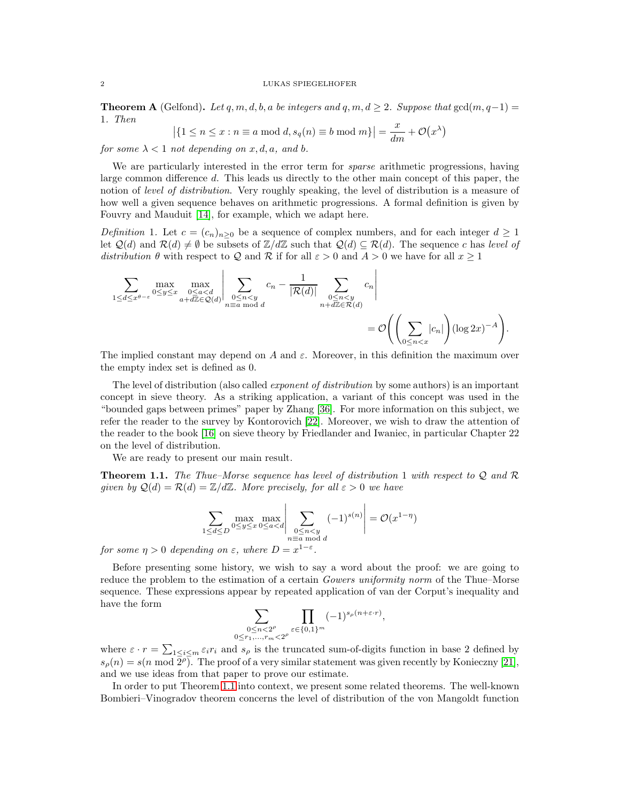**Theorem A** (Gelfond). Let q, m, d, b, a be integers and q, m,  $d \geq 2$ . Suppose that  $gcd(m, q-1)$ 1. Then

$$
\left| \{ 1 \le n \le x : n \equiv a \bmod d, s_q(n) \equiv b \bmod m \} \right| = \frac{x}{dm} + \mathcal{O}(x^{\lambda})
$$

for some  $\lambda < 1$  not depending on x, d, a, and b.

We are particularly interested in the error term for *sparse* arithmetic progressions, having large common difference d. This leads us directly to the other main concept of this paper, the notion of level of distribution. Very roughly speaking, the level of distribution is a measure of how well a given sequence behaves on arithmetic progressions. A formal definition is given by Fouvry and Mauduit [\[14\]](#page-21-2), for example, which we adapt here.

Definition 1. Let  $c = (c_n)_{n \geq 0}$  be a sequence of complex numbers, and for each integer  $d \geq 1$ let  $\mathcal{Q}(d)$  and  $\mathcal{R}(d) \neq \emptyset$  be subsets of  $\mathbb{Z}/d\mathbb{Z}$  such that  $\mathcal{Q}(d) \subseteq \mathcal{R}(d)$ . The sequence c has level of distribution  $\theta$  with respect to Q and R if for all  $\varepsilon > 0$  and  $A > 0$  we have for all  $x \ge 1$ 

$$
\sum_{1 \le d \le x^{\theta-\varepsilon}} \max_{0 \le y \le x} \max_{\substack{0 \le a < d \\ a+d\mathbb{Z} \in \mathcal{Q}(d)}} \left| \sum_{\substack{0 \le n < y \\ n \equiv a \bmod d}} c_n - \frac{1}{|\mathcal{R}(d)|} \sum_{\substack{0 \le n < y \\ n+d\mathbb{Z} \in \mathcal{R}(d)}} c_n \right|
$$
\n
$$
= \mathcal{O}\left(\left(\sum_{0 \le n < x} |c_n|\right) (\log 2x)^{-A}\right).
$$

The implied constant may depend on A and  $\varepsilon$ . Moreover, in this definition the maximum over the empty index set is defined as 0.

The level of distribution (also called exponent of distribution by some authors) is an important concept in sieve theory. As a striking application, a variant of this concept was used in the "bounded gaps between primes" paper by Zhang [\[36\]](#page-21-3). For more information on this subject, we refer the reader to the survey by Kontorovich [\[22\]](#page-21-4). Moreover, we wish to draw the attention of the reader to the book [\[16\]](#page-21-5) on sieve theory by Friedlander and Iwaniec, in particular Chapter 22 on the level of distribution.

We are ready to present our main result.

<span id="page-1-0"></span>**Theorem 1.1.** The Thue–Morse sequence has level of distribution 1 with respect to Q and R given by  $\mathcal{Q}(d) = \mathcal{R}(d) = \mathbb{Z}/d\mathbb{Z}$ . More precisely, for all  $\varepsilon > 0$  we have

$$
\sum_{1 \le d \le D} \max_{0 \le y \le x} \max_{0 \le a < d} \left| \sum_{\substack{0 \le n < y \\ n \equiv a \bmod d}} (-1)^{s(n)} \right| = \mathcal{O}(x^{1-\eta})
$$

for some  $\eta > 0$  depending on  $\varepsilon$ , where  $D = x^{1-\varepsilon}$ .

Before presenting some history, we wish to say a word about the proof: we are going to reduce the problem to the estimation of a certain Gowers uniformity norm of the Thue–Morse sequence. These expressions appear by repeated application of van der Corput's inequality and have the form

$$
\sum_{\substack{0 \le n < 2^{\rho} \\ 0 \le r_1, \dots, r_m < 2^{\rho}}} \prod_{\varepsilon \in \{0, 1\}^m} (-1)^{s_{\rho}(n+\varepsilon \cdot r)},
$$

where  $\varepsilon \cdot r = \sum_{1 \leq i \leq m} \varepsilon_i r_i$  and  $s_\rho$  is the truncated sum-of-digits function in base 2 defined by  $s_\rho(n) = s(n \mod 2^\rho)$ . The proof of a very similar statement was given recently by Konieczny [\[21\]](#page-21-6), and we use ideas from that paper to prove our estimate.

In order to put Theorem [1.1](#page-1-0) into context, we present some related theorems. The well-known Bombieri–Vinogradov theorem concerns the level of distribution of the von Mangoldt function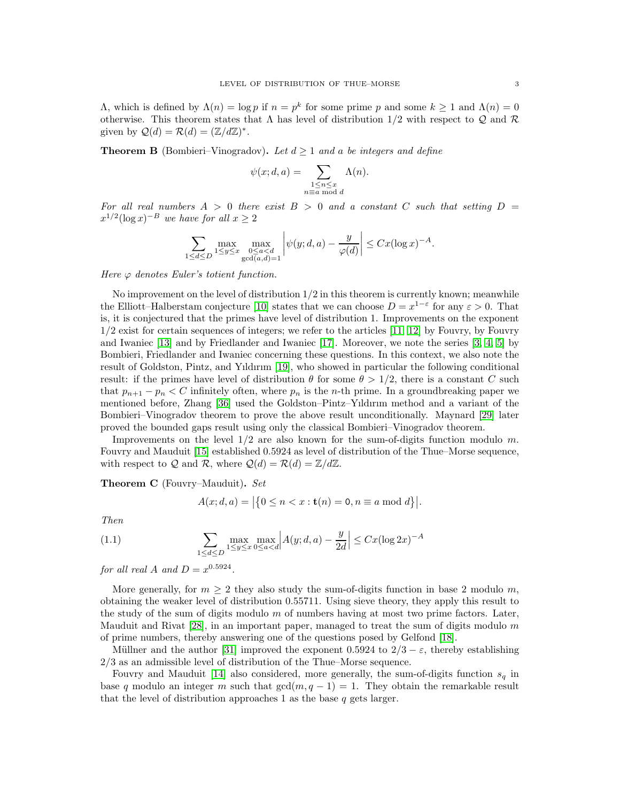$Λ$ , which is defined by  $Λ(n) = log p$  if  $n = p<sup>k</sup>$  for some prime p and some  $k ≥ 1$  and  $Λ(n) = 0$ otherwise. This theorem states that  $\Lambda$  has level of distribution 1/2 with respect to  $\mathcal{Q}$  and  $\mathcal{R}$ given by  $\mathcal{Q}(d) = \mathcal{R}(d) = (\mathbb{Z}/d\mathbb{Z})^*$ .

**Theorem B** (Bombieri–Vinogradov). Let  $d \geq 1$  and a be integers and define

$$
\psi(x; d, a) = \sum_{\substack{1 \le n \le x \\ n \equiv a \bmod d}} \Lambda(n).
$$

For all real numbers  $A > 0$  there exist  $B > 0$  and a constant C such that setting  $D =$  $x^{1/2}(\log x)^{-B}$  we have for all  $x \ge 2$ 

$$
\sum_{1 \le d \le D} \max_{1 \le y \le x} \max_{\substack{0 \le a < d \\ \gcd(a,d)=1}} \left| \psi(y; d, a) - \frac{y}{\varphi(d)} \right| \le Cx (\log x)^{-A}.
$$

Here  $\varphi$  denotes Euler's totient function.

No improvement on the level of distribution  $1/2$  in this theorem is currently known; meanwhile the Elliott–Halberstam conjecture [\[10\]](#page-21-7) states that we can choose  $D = x^{1-\epsilon}$  for any  $\varepsilon > 0$ . That is, it is conjectured that the primes have level of distribution 1. Improvements on the exponent 1/2 exist for certain sequences of integers; we refer to the articles [\[11,](#page-21-8) [12\]](#page-21-9) by Fouvry, by Fouvry and Iwaniec [\[13\]](#page-21-10) and by Friedlander and Iwaniec [\[17\]](#page-21-11). Moreover, we note the series [\[3,](#page-20-2) [4,](#page-20-3) [5\]](#page-20-4) by Bombieri, Friedlander and Iwaniec concerning these questions. In this context, we also note the result of Goldston, Pintz, and Yıldırım [\[19\]](#page-21-12), who showed in particular the following conditional result: if the primes have level of distribution  $\theta$  for some  $\theta > 1/2$ , there is a constant C such that  $p_{n+1} - p_n < C$  infinitely often, where  $p_n$  is the *n*-th prime. In a groundbreaking paper we mentioned before, Zhang [\[36\]](#page-21-3) used the Goldston–Pintz–Yıldırım method and a variant of the Bombieri–Vinogradov theorem to prove the above result unconditionally. Maynard [\[29\]](#page-21-13) later proved the bounded gaps result using only the classical Bombieri–Vinogradov theorem.

Improvements on the level  $1/2$  are also known for the sum-of-digits function modulo m. Fouvry and Mauduit [\[15\]](#page-21-14) established 0.5924 as level of distribution of the Thue–Morse sequence, with respect to Q and R, where  $Q(d) = R(d) = \mathbb{Z}/d\mathbb{Z}$ .

Theorem C (Fouvry–Mauduit). Set

$$
A(x; d, a) = |\{0 \le n < x : t(n) = 0, n \equiv a \bmod d\}|.
$$

Then

(1.1) 
$$
\sum_{1 \le d \le D} \max_{1 \le y \le x} \max_{0 \le a < d} \left| A(y; d, a) - \frac{y}{2d} \right| \le Cx (\log 2x)^{-A}
$$

for all real A and  $D = x^{0.5924}$ .

More generally, for  $m \geq 2$  they also study the sum-of-digits function in base 2 modulo m, obtaining the weaker level of distribution 0.55711. Using sieve theory, they apply this result to the study of the sum of digits modulo  $m$  of numbers having at most two prime factors. Later, Mauduit and Rivat  $[28]$ , in an important paper, managed to treat the sum of digits modulo m of prime numbers, thereby answering one of the questions posed by Gelfond [\[18\]](#page-21-1).

Müllner and the author [\[31\]](#page-21-16) improved the exponent 0.5924 to  $2/3 - \varepsilon$ , thereby establishing 2/3 as an admissible level of distribution of the Thue–Morse sequence.

Fouvry and Mauduit [\[14\]](#page-21-2) also considered, more generally, the sum-of-digits function  $s<sub>q</sub>$  in base q modulo an integer m such that  $gcd(m, q - 1) = 1$ . They obtain the remarkable result that the level of distribution approaches 1 as the base  $q$  gets larger.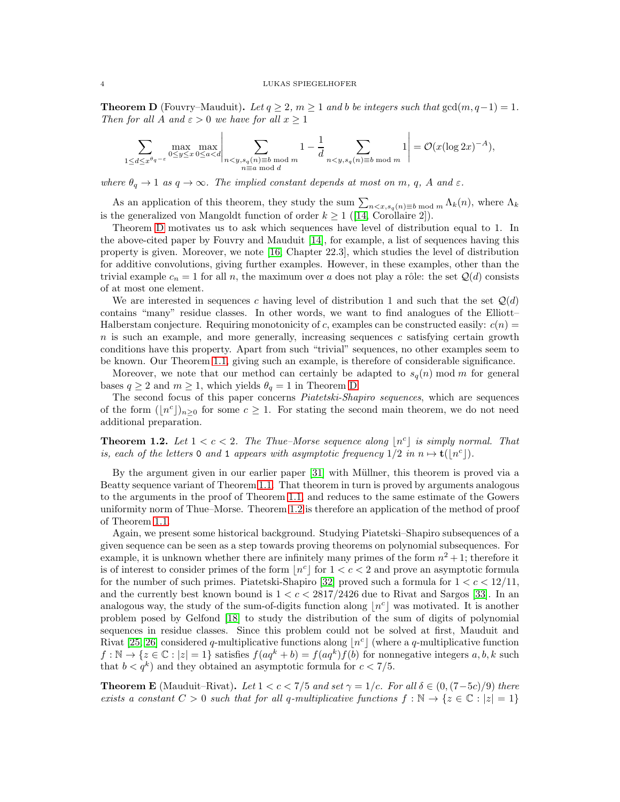<span id="page-3-0"></span>**Theorem D** (Fouvry–Mauduit). Let  $q \geq 2$ ,  $m \geq 1$  and b be integers such that  $gcd(m, q-1) = 1$ . Then for all A and  $\varepsilon > 0$  we have for all  $x \ge 1$ 

$$
\sum_{1 \le d \le x^{\theta_q - \varepsilon}} \max_{0 \le y \le x} \max_{0 \le d < d} \left| \sum_{\substack{n < y, s_q(n) \equiv b \bmod m \\ n \equiv a \bmod d}} 1 - \frac{1}{d} \sum_{n < y, s_q(n) \equiv b \bmod m} 1 \right| = \mathcal{O}(x (\log 2x)^{-A}),
$$

where  $\theta_q \to 1$  as  $q \to \infty$ . The implied constant depends at most on m, q, A and  $\varepsilon$ .

As an application of this theorem, they study the sum  $\sum_{n \leq x, s_q(n) \equiv b \bmod m} \Lambda_k(n)$ , where  $\Lambda_k$ is the generalized von Mangoldt function of order  $k \geq 1$  ([\[14,](#page-21-2) Corollaire 2]).

Theorem [D](#page-3-0) motivates us to ask which sequences have level of distribution equal to 1. In the above-cited paper by Fouvry and Mauduit [\[14\]](#page-21-2), for example, a list of sequences having this property is given. Moreover, we note [\[16,](#page-21-5) Chapter 22.3], which studies the level of distribution for additive convolutions, giving further examples. However, in these examples, other than the trivial example  $c_n = 1$  for all n, the maximum over a does not play a rôle: the set  $\mathcal{Q}(d)$  consists of at most one element.

We are interested in sequences c having level of distribution 1 and such that the set  $\mathcal{Q}(d)$ contains "many" residue classes. In other words, we want to find analogues of the Elliott– Halberstam conjecture. Requiring monotonicity of c, examples can be constructed easily:  $c(n)$  $n$  is such an example, and more generally, increasing sequences c satisfying certain growth conditions have this property. Apart from such "trivial" sequences, no other examples seem to be known. Our Theorem [1.1,](#page-1-0) giving such an example, is therefore of considerable significance.

Moreover, we note that our method can certainly be adapted to  $s_q(n)$  mod m for general bases  $q \ge 2$  and  $m \ge 1$ , which yields  $\theta_q = 1$  in Theorem [D.](#page-3-0)

The second focus of this paper concerns Piatetski-Shapiro sequences, which are sequences of the form  $(\lfloor n^c \rfloor)_{n\geq 0}$  for some  $c \geq 1$ . For stating the second main theorem, we do not need additional preparation.

<span id="page-3-1"></span>**Theorem 1.2.** Let  $1 < c < 2$ . The Thue–Morse sequence along  $\lfloor n^c \rfloor$  is simply normal. That is, each of the letters 0 and 1 appears with asymptotic frequency  $1/2$  in  $n \mapsto \mathbf{t}([n^c])$ .

By the argument given in our earlier paper [\[31\]](#page-21-16) with Müllner, this theorem is proved via a Beatty sequence variant of Theorem [1.1.](#page-1-0) That theorem in turn is proved by arguments analogous to the arguments in the proof of Theorem [1.1,](#page-1-0) and reduces to the same estimate of the Gowers uniformity norm of Thue–Morse. Theorem [1.2](#page-3-1) is therefore an application of the method of proof of Theorem [1.1.](#page-1-0)

Again, we present some historical background. Studying Piatetski–Shapiro subsequences of a given sequence can be seen as a step towards proving theorems on polynomial subsequences. For example, it is unknown whether there are infinitely many primes of the form  $n^2 + 1$ ; therefore it is of interest to consider primes of the form  $\lfloor n^c \rfloor$  for  $1 < c < 2$  and prove an asymptotic formula for the number of such primes. Piatetski-Shapiro [\[32\]](#page-21-17) proved such a formula for  $1 < c < 12/11$ , and the currently best known bound is  $1 < c < 2817/2426$  due to Rivat and Sargos [\[33\]](#page-21-18). In an analogous way, the study of the sum-of-digits function along  $\lfloor n^c \rfloor$  was motivated. It is another problem posed by Gelfond [\[18\]](#page-21-1) to study the distribution of the sum of digits of polynomial sequences in residue classes. Since this problem could not be solved at first, Mauduit and Rivat [\[25,](#page-21-19) [26\]](#page-21-20) considered q-multiplicative functions along  $\lfloor n^c \rfloor$  (where a q-multiplicative function  $f: \mathbb{N} \to \{z \in \mathbb{C} : |z| = 1\}$  satisfies  $f(aq^k + b) = f(aq^k)f(b)$  for nonnegative integers  $a, b, k$  such that  $b < q^k$ ) and they obtained an asymptotic formula for  $c < 7/5$ .

<span id="page-3-2"></span>**Theorem E** (Mauduit–Rivat). Let  $1 < c < 7/5$  and set  $\gamma = 1/c$ . For all  $\delta \in (0, (7-5c)/9)$  there exists a constant  $C > 0$  such that for all q-multiplicative functions  $f : \mathbb{N} \to \{z \in \mathbb{C} : |z| = 1\}$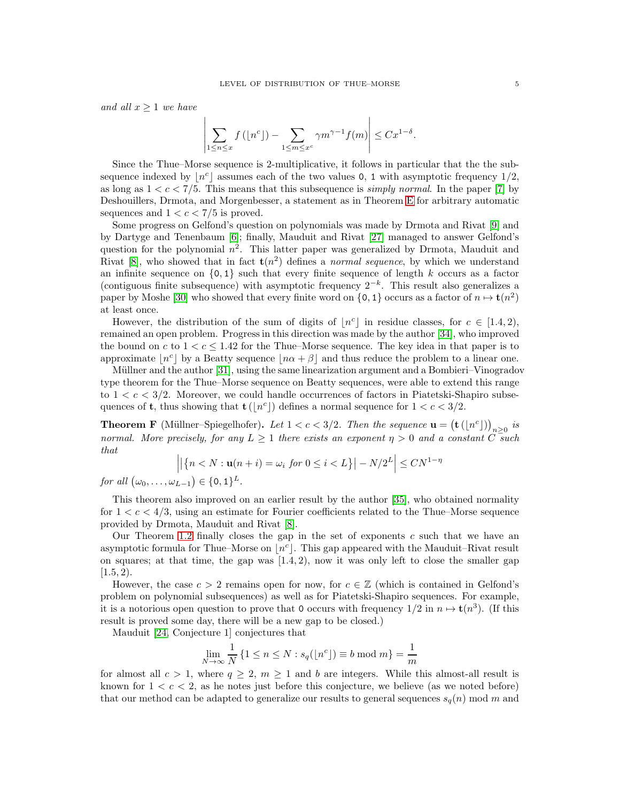and all  $x \geq 1$  we have

$$
\left| \sum_{1 \le n \le x} f\left(\lfloor n^c \rfloor\right) - \sum_{1 \le m \le x^c} \gamma m^{\gamma - 1} f(m) \right| \le C x^{1 - \delta}.
$$

 $\overline{1}$ 

Since the Thue–Morse sequence is 2-multiplicative, it follows in particular that the the subsequence indexed by  $\lfloor n^c \rfloor$  assumes each of the two values 0, 1 with asymptotic frequency  $1/2$ , as long as  $1 < c < 7/5$ . This means that this subsequence is *simply normal*. In the paper [\[7\]](#page-20-5) by Deshouillers, Drmota, and Morgenbesser, a statement as in Theorem [E](#page-3-2) for arbitrary automatic sequences and  $1 < c < 7/5$  is proved.

Some progress on Gelfond's question on polynomials was made by Drmota and Rivat [\[9\]](#page-21-21) and by Dartyge and Tenenbaum [\[6\]](#page-20-6); finally, Mauduit and Rivat [\[27\]](#page-21-22) managed to answer Gelfond's question for the polynomial  $n^2$ . This latter paper was generalized by Drmota, Mauduit and Rivat [\[8\]](#page-20-7), who showed that in fact  $t(n^2)$  defines a *normal sequence*, by which we understand an infinite sequence on  $\{0, 1\}$  such that every finite sequence of length k occurs as a factor (contiguous finite subsequence) with asymptotic frequency  $2^{-k}$ . This result also generalizes a paper by Moshe [\[30\]](#page-21-23) who showed that every finite word on  $\{0, 1\}$  occurs as a factor of  $n \mapsto \mathbf{t}(n^2)$ at least once.

However, the distribution of the sum of digits of  $\lfloor n^c \rfloor$  in residue classes, for  $c \in [1.4, 2)$ , remained an open problem. Progress in this direction was made by the author [\[34\]](#page-21-24), who improved the bound on c to  $1 < c \leq 1.42$  for the Thue–Morse sequence. The key idea in that paper is to approximate  $\lfloor n^c \rfloor$  by a Beatty sequence  $\lfloor n\alpha + \beta \rfloor$  and thus reduce the problem to a linear one.

Müllner and the author [\[31\]](#page-21-16), using the same linearization argument and a Bombieri–Vinogradov type theorem for the Thue–Morse sequence on Beatty sequences, were able to extend this range to  $1 < c < 3/2$ . Moreover, we could handle occurrences of factors in Piatetski-Shapiro subsequences of **t**, thus showing that  $\mathbf{t}(\lfloor n^c \rfloor)$  defines a normal sequence for  $1 < c < 3/2$ .

<span id="page-4-0"></span>**Theorem F** (Müllner–Spiegelhofer). Let  $1 < c < 3/2$ . Then the sequence  $\mathbf{u} = (\mathbf{t}(\lfloor n^c \rfloor))_{n \geq 0}$  is normal. More precisely, for any  $L \geq 1$  there exists an exponent  $\eta > 0$  and a constant C such that

$$
\left| \left| \left\{ n < N : \mathbf{u}(n+i) = \omega_i \text{ for } 0 \le i < L \right\} \right| - N/2^L \right| \le C N^{1-\eta}
$$

for all  $(\omega_0,\ldots,\omega_{L-1}) \in \{0,1\}^L$ .

This theorem also improved on an earlier result by the author [\[35\]](#page-21-25), who obtained normality for  $1 < c < 4/3$ , using an estimate for Fourier coefficients related to the Thue–Morse sequence provided by Drmota, Mauduit and Rivat [\[8\]](#page-20-7).

Our Theorem [1.2](#page-3-1) finally closes the gap in the set of exponents c such that we have an asymptotic formula for Thue–Morse on  $\lfloor n^c \rfloor$ . This gap appeared with the Mauduit–Rivat result on squares; at that time, the gap was  $(1.4, 2)$ , now it was only left to close the smaller gap  $[1.5, 2)$ .

However, the case  $c > 2$  remains open for now, for  $c \in \mathbb{Z}$  (which is contained in Gelfond's problem on polynomial subsequences) as well as for Piatetski-Shapiro sequences. For example, it is a notorious open question to prove that 0 occurs with frequency  $1/2$  in  $n \mapsto \mathbf{t}(n^3)$ . (If this result is proved some day, there will be a new gap to be closed.)

Mauduit [\[24,](#page-21-0) Conjecture 1] conjectures that

$$
\lim_{N \to \infty} \frac{1}{N} \{ 1 \le n \le N : s_q(\lfloor n^c \rfloor) \equiv b \bmod m \} = \frac{1}{m}
$$

for almost all  $c > 1$ , where  $q \geq 2$ ,  $m \geq 1$  and b are integers. While this almost-all result is known for  $1 < c < 2$ , as he notes just before this conjecture, we believe (as we noted before) that our method can be adapted to generalize our results to general sequences  $s_q(n)$  mod m and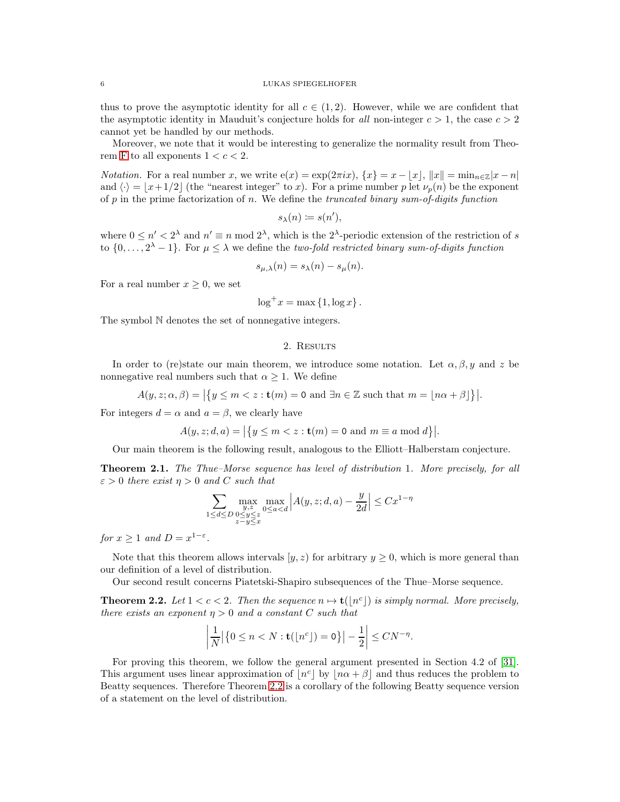thus to prove the asymptotic identity for all  $c \in (1,2)$ . However, while we are confident that the asymptotic identity in Mauduit's conjecture holds for all non-integer  $c > 1$ , the case  $c > 2$ cannot yet be handled by our methods.

Moreover, we note that it would be interesting to generalize the normality result from Theo-rem [F](#page-4-0) to all exponents  $1 < c < 2$ .

*Notation.* For a real number x, we write  $e(x) = \exp(2\pi ix)$ ,  $\{x\} = x - |x|$ ,  $\|x\| = \min_{n \in \mathbb{Z}} |x - n|$ and  $\langle \cdot \rangle = \lfloor x+1/2 \rfloor$  (the "nearest integer" to x). For a prime number p let  $\nu_p(n)$  be the exponent of  $p$  in the prime factorization of  $n$ . We define the truncated binary sum-of-digits function

$$
s_{\lambda}(n) \coloneqq s(n'),
$$

where  $0 \le n' < 2^{\lambda}$  and  $n' \equiv n \mod 2^{\lambda}$ , which is the  $2^{\lambda}$ -periodic extension of the restriction of s to  $\{0,\ldots,2^{\lambda}-1\}$ . For  $\mu \leq \lambda$  we define the two-fold restricted binary sum-of-digits function

$$
s_{\mu,\lambda}(n) = s_{\lambda}(n) - s_{\mu}(n).
$$

For a real number  $x \geq 0$ , we set

$$
\log^+ x = \max\left\{1, \log x\right\}.
$$

The symbol N denotes the set of nonnegative integers.

### 2. Results

In order to (re)state our main theorem, we introduce some notation. Let  $\alpha, \beta, y$  and z be nonnegative real numbers such that  $\alpha \geq 1$ . We define

$$
A(y, z; \alpha, \beta) = |\{y \le m < z : \mathbf{t}(m) = 0 \text{ and } \exists n \in \mathbb{Z} \text{ such that } m = \lfloor n\alpha + \beta \rfloor\}|.
$$

For integers  $d = \alpha$  and  $a = \beta$ , we clearly have

$$
A(y, z; d, a) = |\{y \le m < z : \mathbf{t}(m) = 0 \text{ and } m \equiv a \bmod d\}|.
$$

Our main theorem is the following result, analogous to the Elliott–Halberstam conjecture.

<span id="page-5-1"></span>Theorem 2.1. The Thue–Morse sequence has level of distribution 1. More precisely, for all  $\varepsilon > 0$  there exist  $\eta > 0$  and C such that

$$
\sum_{1 \le d \le D} \max_{\substack{y,z \\ 0 \le y \le z \\ z - y \le x}} \max_{0 \le a < d} \left| A(y,z;d,a) - \frac{y}{2d} \right| \le Cx^{1-\eta}
$$

for  $x \geq 1$  and  $D = x^{1-\varepsilon}$ .

Note that this theorem allows intervals  $[y, z)$  for arbitrary  $y \ge 0$ , which is more general than our definition of a level of distribution.

Our second result concerns Piatetski-Shapiro subsequences of the Thue–Morse sequence.

<span id="page-5-0"></span>**Theorem 2.2.** Let  $1 < c < 2$ . Then the sequence  $n \mapsto \mathbf{t}(\lfloor n^c \rfloor)$  is simply normal. More precisely, there exists an exponent  $\eta > 0$  and a constant C such that

$$
\left|\frac{1}{N}\big|\big\{0\leq n
$$

For proving this theorem, we follow the general argument presented in Section 4.2 of [\[31\]](#page-21-16). This argument uses linear approximation of  $\lfloor n^c \rfloor$  by  $\lfloor n\alpha + \beta \rfloor$  and thus reduces the problem to Beatty sequences. Therefore Theorem [2.2](#page-5-0) is a corollary of the following Beatty sequence version of a statement on the level of distribution.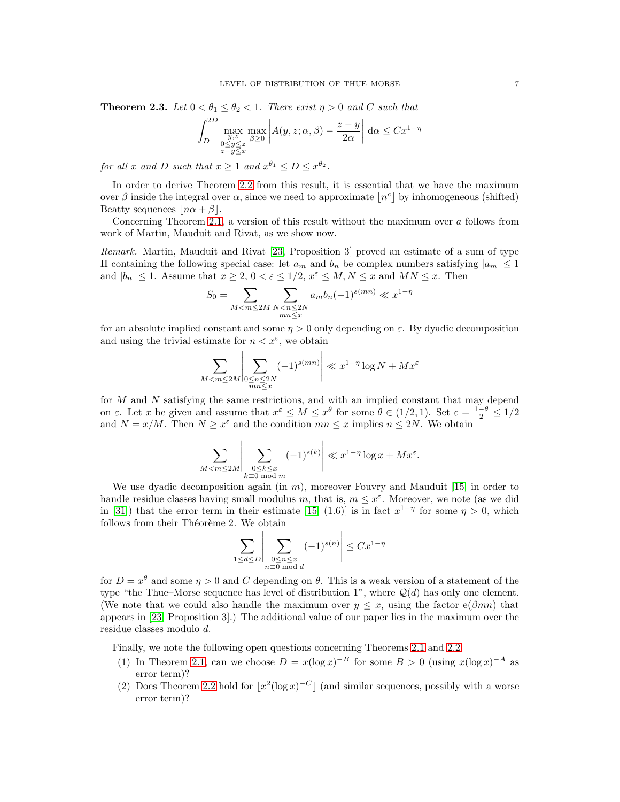<span id="page-6-0"></span>**Theorem 2.3.** Let  $0 < \theta_1 \leq \theta_2 < 1$ . There exist  $\eta > 0$  and C such that

$$
\int_{D}^{2D} \max_{\substack{y,z \ x^2 \to \beta \ge 0 \\ z - y \le x}} \max_{\beta \ge 0} \left| A(y,z;\alpha,\beta) - \frac{z - y}{2\alpha} \right| d\alpha \le Cx^{1-\eta}
$$

for all x and D such that  $x \ge 1$  and  $x^{\theta_1} \le D \le x^{\theta_2}$ .

In order to derive Theorem [2.2](#page-5-0) from this result, it is essential that we have the maximum over  $\beta$  inside the integral over  $\alpha$ , since we need to approximate  $\lfloor n^c \rfloor$  by inhomogeneous (shifted) Beatty sequences  $|n\alpha + \beta|$ .

Concerning Theorem [2.1,](#page-5-1) a version of this result without the maximum over a follows from work of Martin, Mauduit and Rivat, as we show now.

Remark. Martin, Mauduit and Rivat [\[23,](#page-21-26) Proposition 3] proved an estimate of a sum of type II containing the following special case: let  $a_m$  and  $b_n$  be complex numbers satisfying  $|a_m| \leq 1$ and  $|b_n| \leq 1$ . Assume that  $x \geq 2$ ,  $0 < \varepsilon \leq 1/2$ ,  $x^{\varepsilon} \leq M, N \leq x$  and  $MN \leq x$ . Then

$$
S_0 = \sum_{M < m \le 2M} \sum_{\substack{N < n \le 2N \\ mn \le x}} a_m b_n (-1)^{s(mn)} \ll x^{1-\eta}
$$

for an absolute implied constant and some  $\eta > 0$  only depending on  $\varepsilon$ . By dyadic decomposition and using the trivial estimate for  $n < x^{\varepsilon}$ , we obtain

$$
\sum_{M < m \le 2M} \left| \sum_{\substack{0 \le n \le 2N \\ mn \le x}} (-1)^{s(mn)} \right| \ll x^{1-\eta} \log N + Mx^{\varepsilon}
$$

for  $M$  and  $N$  satisfying the same restrictions, and with an implied constant that may depend on  $\varepsilon$ . Let x be given and assume that  $x^{\varepsilon} \leq M \leq x^{\theta}$  for some  $\theta \in (1/2, 1)$ . Set  $\varepsilon = \frac{1-\theta}{2} \leq 1/2$ and  $N = x/M$ . Then  $N \ge x^{\varepsilon}$  and the condition  $mn \le x$  implies  $n \le 2N$ . We obtain

$$
\sum_{M < m \le 2M} \left| \sum_{\substack{0 \le k \le x \\ k \equiv 0 \bmod m}} (-1)^{s(k)} \right| \ll x^{1-\eta} \log x + Mx^{\varepsilon}.
$$

We use dyadic decomposition again (in  $m$ ), moreover Fouvry and Mauduit [\[15\]](#page-21-14) in order to handle residue classes having small modulus m, that is,  $m \leq x^{\varepsilon}$ . Moreover, we note (as we did in [\[31\]](#page-21-16)) that the error term in their estimate [\[15,](#page-21-14) (1.6)] is in fact  $x^{1-\eta}$  for some  $\eta > 0$ , which follows from their Théorème 2. We obtain

$$
\sum_{1 \le d \le D} \left| \sum_{\substack{0 \le n \le x \\ n \equiv 0 \bmod{d}}} (-1)^{s(n)} \right| \le Cx^{1-\eta}
$$

 $\overline{1}$ 

for  $D = x^{\theta}$  and some  $\eta > 0$  and C depending on  $\theta$ . This is a weak version of a statement of the type "the Thue–Morse sequence has level of distribution 1", where  $\mathcal{Q}(d)$  has only one element. (We note that we could also handle the maximum over  $y \leq x$ , using the factor  $e(\beta mn)$  that appears in [\[23,](#page-21-26) Proposition 3].) The additional value of our paper lies in the maximum over the residue classes modulo d.

Finally, we note the following open questions concerning Theorems [2.1](#page-5-1) and [2.2:](#page-5-0)

- (1) In Theorem [2.1,](#page-5-1) can we choose  $D = x(\log x)^{-B}$  for some  $B > 0$  (using  $x(\log x)^{-A}$  as error term)?
- (2) Does Theorem [2.2](#page-5-0) hold for  $\lfloor x^2(\log x)^{-C} \rfloor$  (and similar sequences, possibly with a worse error term)?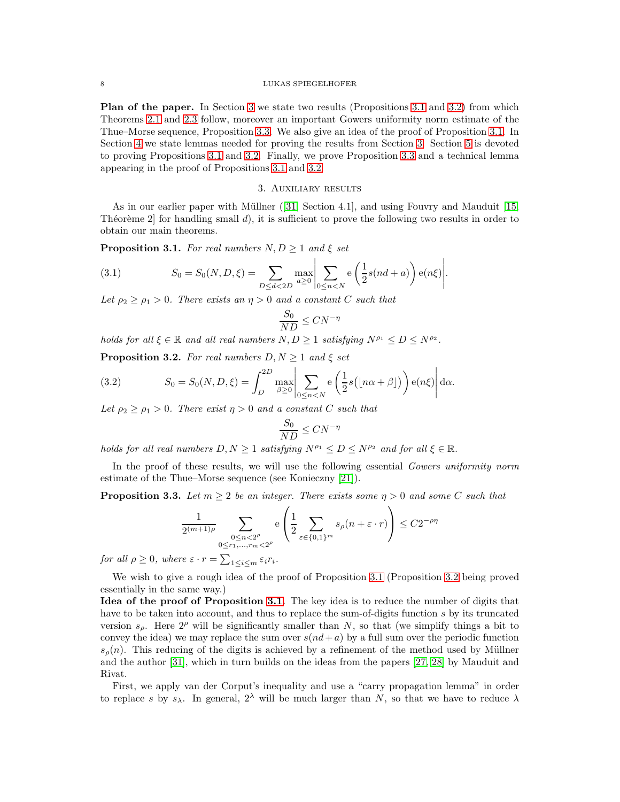Plan of the paper. In Section [3](#page-7-0) we state two results (Propositions [3.1](#page-7-1) and [3.2\)](#page-7-2) from which Theorems [2.1](#page-5-1) and [2.3](#page-6-0) follow, moreover an important Gowers uniformity norm estimate of the Thue–Morse sequence, Proposition [3.3.](#page-7-3) We also give an idea of the proof of Proposition [3.1.](#page-7-1) In Section [4](#page-8-0) we state lemmas needed for proving the results from Section [3.](#page-7-0) Section [5](#page-9-0) is devoted to proving Propositions [3.1](#page-7-1) and [3.2.](#page-7-2) Finally, we prove Proposition [3.3](#page-7-3) and a technical lemma appearing in the proof of Propositions [3.1](#page-7-1) and [3.2.](#page-7-2)

### 3. Auxiliary results

<span id="page-7-0"></span>As in our earlier paper with Müllner ([\[31,](#page-21-16) Section 4.1], and using Fouvry and Mauduit [\[15,](#page-21-14) Théorème 2 for handling small  $d$ , it is sufficient to prove the following two results in order to obtain our main theorems.

<span id="page-7-1"></span>**Proposition 3.1.** For real numbers  $N, D \geq 1$  and  $\xi$  set

<span id="page-7-4"></span>(3.1) 
$$
S_0 = S_0(N, D, \xi) = \sum_{D \le d < 2D} \max_{a \ge 0} \left| \sum_{0 \le n < N} e\left(\frac{1}{2}s(nd + a)\right)e(n\xi) \right|.
$$

Let  $\rho_2 \ge \rho_1 > 0$ . There exists an  $\eta > 0$  and a constant C such that

$$
\frac{S_0}{ND} \leq CN^{-\eta}
$$

holds for all  $\xi \in \mathbb{R}$  and all real numbers  $N, D \geq 1$  satisfying  $N^{\rho_1} \leq D \leq N^{\rho_2}$ .

<span id="page-7-2"></span>**Proposition 3.2.** For real numbers  $D, N \geq 1$  and  $\xi$  set

<span id="page-7-5"></span>(3.2) 
$$
S_0 = S_0(N, D, \xi) = \int_D^{2D} \max_{\beta \ge 0} \left| \sum_{0 \le n < N} e\left(\frac{1}{2} s\left(\lfloor n\alpha + \beta \rfloor\right)\right) e(n\xi) \right| d\alpha.
$$

Let  $\rho_2 \geq \rho_1 > 0$ . There exist  $\eta > 0$  and a constant C such that

$$
\frac{S_0}{ND} \leq CN^{-\eta}
$$

holds for all real numbers  $D, N \geq 1$  satisfying  $N^{\rho_1} \leq D \leq N^{\rho_2}$  and for all  $\xi \in \mathbb{R}$ .

In the proof of these results, we will use the following essential Gowers uniformity norm estimate of the Thue–Morse sequence (see Konieczny [\[21\]](#page-21-6)).

<span id="page-7-3"></span>**Proposition 3.3.** Let  $m \geq 2$  be an integer. There exists some  $\eta > 0$  and some C such that

$$
\frac{1}{2^{(m+1)\rho}}\sum_{\substack{0\leq n<2^{\rho}\\0\leq r_1,\dots,r_m<2^{\rho}}}\mathbf{e}\left(\frac{1}{2}\sum_{\varepsilon\in\{0,1\}^m}s_{\rho}(n+\varepsilon\cdot r)\right)\leq C2^{-\rho\eta}
$$

for all  $\rho \geq 0$ , where  $\varepsilon \cdot r = \sum_{1 \leq i \leq m} \varepsilon_i r_i$ .

We wish to give a rough idea of the proof of Proposition [3.1](#page-7-1) (Proposition [3.2](#page-7-2) being proved essentially in the same way.)

Idea of the proof of Proposition [3.1.](#page-7-1) The key idea is to reduce the number of digits that have to be taken into account, and thus to replace the sum-of-digits function s by its truncated version  $s_{\rho}$ . Here  $2^{\rho}$  will be significantly smaller than N, so that (we simplify things a bit to convey the idea) we may replace the sum over  $s(nd + a)$  by a full sum over the periodic function  $s<sub>o</sub>(n)$ . This reducing of the digits is achieved by a refinement of the method used by Müllner and the author [\[31\]](#page-21-16), which in turn builds on the ideas from the papers [\[27,](#page-21-22) [28\]](#page-21-15) by Mauduit and Rivat.

First, we apply van der Corput's inequality and use a "carry propagation lemma" in order to replace s by  $s_\lambda$ . In general,  $2^\lambda$  will be much larger than N, so that we have to reduce  $\lambda$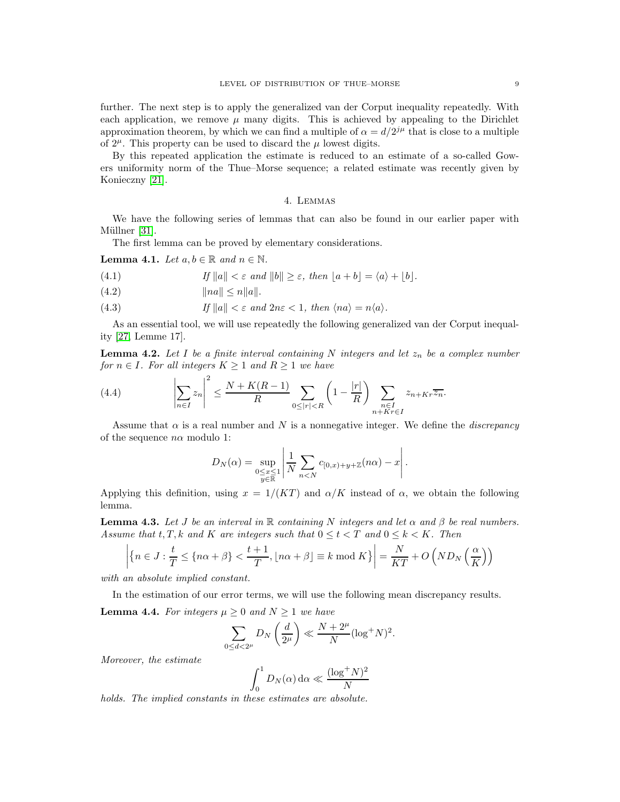further. The next step is to apply the generalized van der Corput inequality repeatedly. With each application, we remove  $\mu$  many digits. This is achieved by appealing to the Dirichlet approximation theorem, by which we can find a multiple of  $\alpha = d/2^{j\mu}$  that is close to a multiple of  $2^{\mu}$ . This property can be used to discard the  $\mu$  lowest digits.

By this repeated application the estimate is reduced to an estimate of a so-called Gowers uniformity norm of the Thue–Morse sequence; a related estimate was recently given by Konieczny [\[21\]](#page-21-6).

# 4. Lemmas

<span id="page-8-0"></span>We have the following series of lemmas that can also be found in our earlier paper with Müllner [\[31\]](#page-21-16).

The first lemma can be proved by elementary considerations.

<span id="page-8-3"></span>**Lemma 4.1.** Let  $a, b \in \mathbb{R}$  and  $n \in \mathbb{N}$ .

- <span id="page-8-4"></span>(4.1) If  $||a|| < \varepsilon$  and  $||b|| \geq \varepsilon$ , then  $|a+b| = \langle a \rangle + |b|$ .
- (4.2)  $||na|| < n||a||.$
- <span id="page-8-2"></span>(4.3) If  $||a|| < \varepsilon$  and  $2n\varepsilon < 1$ , then  $\langle na \rangle = n\langle a \rangle$ .

As an essential tool, we will use repeatedly the following generalized van der Corput inequality [\[27,](#page-21-22) Lemme 17].

**Lemma 4.2.** Let I be a finite interval containing N integers and let  $z_n$  be a complex number for  $n \in I$ . For all integers  $K \geq 1$  and  $R \geq 1$  we have

(4.4) 
$$
\left|\sum_{n\in I} z_n\right|^2 \leq \frac{N + K(R-1)}{R} \sum_{0 \leq |r| < R} \left(1 - \frac{|r|}{R}\right) \sum_{\substack{n\in I \\ n + K r \in I}} z_{n + K r} \overline{z_n}.
$$

Assume that  $\alpha$  is a real number and N is a nonnegative integer. We define the *discrepancy* of the sequence  $n\alpha$  modulo 1:

<span id="page-8-1"></span>
$$
D_N(\alpha) = \sup_{\substack{0 \le x \le 1 \\ y \in \mathbb{R}}} \left| \frac{1}{N} \sum_{n < N} c_{[0,x)+y+\mathbb{Z}}(n\alpha) - x \right|.
$$

Applying this definition, using  $x = 1/(KT)$  and  $\alpha/K$  instead of  $\alpha$ , we obtain the following lemma.

<span id="page-8-5"></span>**Lemma 4.3.** Let J be an interval in R containing N integers and let  $\alpha$  and  $\beta$  be real numbers. Assume that t, T, k and K are integers such that  $0 \le t < T$  and  $0 \le k < K$ . Then

$$
\left| \left\{ n \in J : \frac{t}{T} \le \left\{ n\alpha + \beta \right\} < \frac{t+1}{T}, \left\lfloor n\alpha + \beta \right\rfloor \equiv k \bmod K \right\} \right| = \frac{N}{KT} + O\left( ND_N\left( \frac{\alpha}{K} \right) \right)
$$

with an absolute implied constant.

In the estimation of our error terms, we will use the following mean discrepancy results.

<span id="page-8-6"></span>**Lemma 4.4.** For integers  $\mu \geq 0$  and  $N \geq 1$  we have

$$
\sum_{0 \le d < 2^{\mu}} D_N\left(\frac{d}{2^{\mu}}\right) \ll \frac{N + 2^{\mu}}{N} (\log^+ N)^2.
$$

Moreover, the estimate

$$
\int_0^1 D_N(\alpha) \, \mathrm{d}\alpha \ll \frac{(\log^+ N)^2}{N}
$$

holds. The implied constants in these estimates are absolute.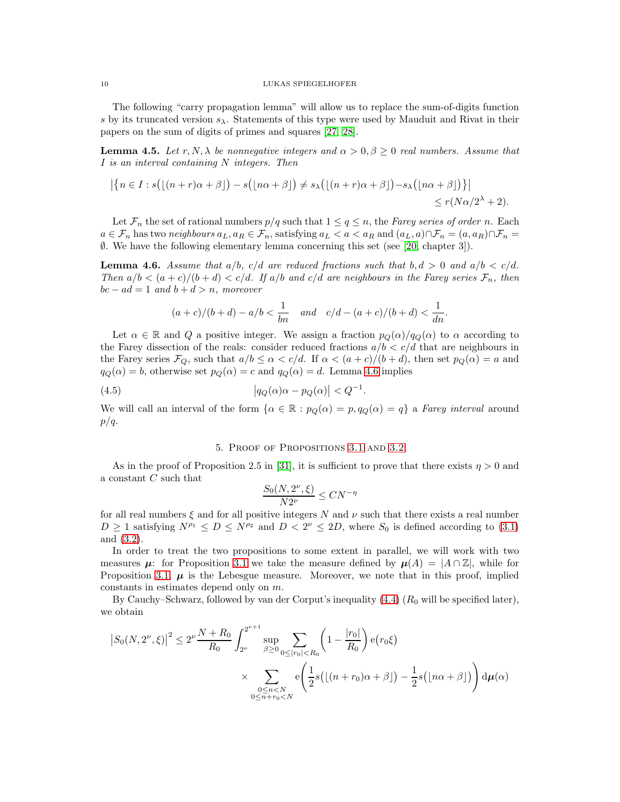The following "carry propagation lemma" will allow us to replace the sum-of-digits function s by its truncated version  $s_\lambda$ . Statements of this type were used by Mauduit and Rivat in their papers on the sum of digits of primes and squares [\[27,](#page-21-22) [28\]](#page-21-15).

<span id="page-9-2"></span>**Lemma 4.5.** Let r, N,  $\lambda$  be nonnegative integers and  $\alpha > 0, \beta \geq 0$  real numbers. Assume that I is an interval containing N integers. Then

$$
|\{n\in I: s(\lfloor(n+r)\alpha+\beta\rfloor)-s(\lfloor n\alpha+\beta\rfloor)\neq s_{\lambda}(\lfloor(n+r)\alpha+\beta\rfloor)-s_{\lambda}(\lfloor n\alpha+\beta\rfloor)\}|
$$
  
\$\leq r(N\alpha/2^{\lambda}+2).

Let  $\mathcal{F}_n$  the set of rational numbers  $p/q$  such that  $1 \leq q \leq n$ , the Farey series of order n. Each  $a \in \mathcal{F}_n$  has two neighbours  $a_L, a_R \in \mathcal{F}_n$ , satisfying  $a_L < a < a_R$  and  $(a_L, a) \cap \mathcal{F}_n = (a, a_R) \cap \mathcal{F}_n =$ ∅. We have the following elementary lemma concerning this set (see [\[20,](#page-21-27) chapter 3]).

<span id="page-9-1"></span>**Lemma 4.6.** Assume that  $a/b$ ,  $c/d$  are reduced fractions such that  $b, d > 0$  and  $a/b < c/d$ . Then  $a/b < (a+c)/(b+d) < c/d$ . If  $a/b$  and  $c/d$  are neighbours in the Farey series  $\mathcal{F}_n$ , then  $bc - ad = 1$  and  $b + d > n$ , moreover

$$
(a + c)/(b + d) - a/b < \frac{1}{bn}
$$
 and  $c/d - (a + c)/(b + d) < \frac{1}{dn}$ .

Let  $\alpha \in \mathbb{R}$  and Q a positive integer. We assign a fraction  $p_Q(\alpha)/q_Q(\alpha)$  to  $\alpha$  according to the Farey dissection of the reals: consider reduced fractions  $a/b < c/d$  that are neighbours in the Farey series  $\mathcal{F}_Q$ , such that  $a/b \leq \alpha < c/d$ . If  $\alpha < (a+c)/(b+d)$ , then set  $p_Q(\alpha) = a$  and  $q_Q(\alpha) = b$ , otherwise set  $p_Q(\alpha) = c$  and  $q_Q(\alpha) = d$ . Lemma [4.6](#page-9-1) implies

(4.5) 
$$
\left| q_Q(\alpha)\alpha - p_Q(\alpha) \right| < Q^{-1}.
$$

<span id="page-9-0"></span>We will call an interval of the form  $\{\alpha \in \mathbb{R} : p_Q(\alpha) = p, q_Q(\alpha) = q\}$  a Farey interval around  $p/q$ .

### <span id="page-9-3"></span>5. Proof of Propositions [3.1](#page-7-1) and [3.2](#page-7-2)

As in the proof of Proposition 2.5 in [\[31\]](#page-21-16), it is sufficient to prove that there exists  $\eta > 0$  and a constant  $C$  such that

$$
\frac{S_0(N,2^{\nu},\xi)}{N2^{\nu}}\leq CN^{-\eta}
$$

for all real numbers  $\xi$  and for all positive integers N and  $\nu$  such that there exists a real number  $D \ge 1$  satisfying  $N^{\rho_1} \le D \le N^{\rho_2}$  and  $D < 2^{\nu} \le 2D$ , where  $S_0$  is defined according to [\(3.1\)](#page-7-4) and [\(3.2\)](#page-7-5).

In order to treat the two propositions to some extent in parallel, we will work with two measures  $\mu$ : for Proposition [3.1](#page-7-1) we take the measure defined by  $\mu(A) = |A \cap \mathbb{Z}|$ , while for Proposition [3.1,](#page-7-1)  $\mu$  is the Lebesgue measure. Moreover, we note that in this proof, implied constants in estimates depend only on m.

By Cauchy–Schwarz, followed by van der Corput's inequality  $(4.4)$   $(R_0$  will be specified later), we obtain

$$
\left| S_0(N, 2^{\nu}, \xi) \right|^2 \le 2^{\nu} \frac{N + R_0}{R_0} \int_{2^{\nu}}^{2^{\nu+1}} \sup_{\beta \ge 0} \sum_{0 \le |r_0| < R_0} \left( 1 - \frac{|r_0|}{R_0} \right) e(r_0 \xi)
$$
\n
$$
\times \sum_{\substack{0 \le n < N \\ 0 \le n + r_0 < N}} e\left( \frac{1}{2} s \left( \lfloor (n + r_0)\alpha + \beta \rfloor \right) - \frac{1}{2} s \left( \lfloor n\alpha + \beta \rfloor \right) \right) d\mu(\alpha)
$$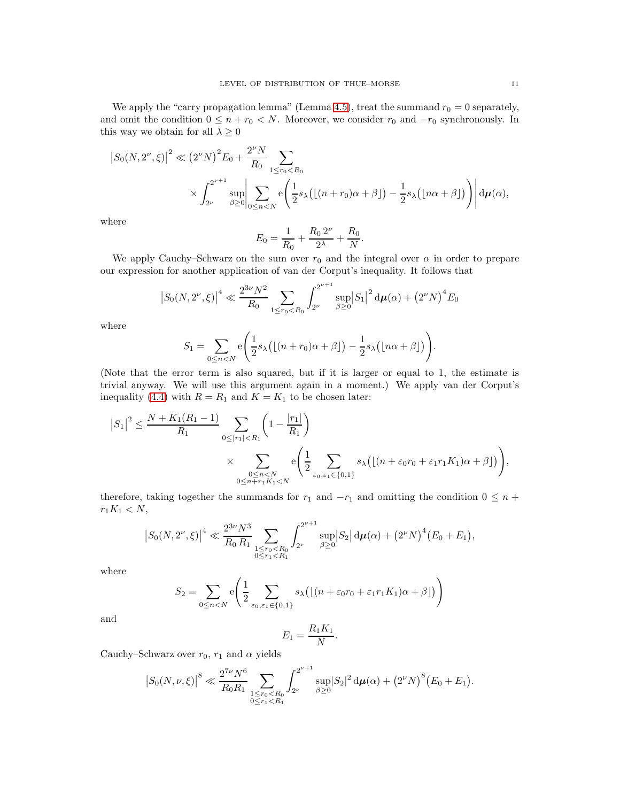We apply the "carry propagation lemma" (Lemma [4.5\)](#page-9-2), treat the summand  $r_0 = 0$  separately, and omit the condition  $0 \leq n + r_0 < N$ . Moreover, we consider  $r_0$  and  $-r_0$  synchronously. In this way we obtain for all  $\lambda \geq 0$ 

$$
|S_0(N, 2^{\nu}, \xi)|^2 \ll (2^{\nu} N)^2 E_0 + \frac{2^{\nu} N}{R_0} \sum_{1 \leq r_0 < R_0} \times \int_{2^{\nu}}^{2^{\nu+1}} \sup_{\beta \geq 0} \left| \sum_{0 \leq n < N} e\left(\frac{1}{2} s_{\lambda} \left( \lfloor (n+r_0)\alpha + \beta \rfloor \right) - \frac{1}{2} s_{\lambda} \left( \lfloor n\alpha + \beta \rfloor \right) \right) \right| d\mu(\alpha),
$$

where

$$
E_0 = \frac{1}{R_0} + \frac{R_0 2^{\nu}}{2^{\lambda}} + \frac{R_0}{N}.
$$

We apply Cauchy–Schwarz on the sum over  $r_0$  and the integral over  $\alpha$  in order to prepare our expression for another application of van der Corput's inequality. It follows that

$$
\left|S_0(N,2^{\nu},\xi)\right|^4 \ll \frac{2^{3\nu}N^2}{R_0} \sum_{1 \leq r_0 < R_0} \int_{2^{\nu}}^{2^{\nu+1}} \sup_{\beta \geq 0} \left|S_1\right|^2 \mathrm{d}\mu(\alpha) + \left(2^{\nu}N\right)^4 E_0
$$

where

$$
S_1 = \sum_{0 \leq n < N} e\left(\frac{1}{2} s_{\lambda} \left(\lfloor (n+r_0)\alpha + \beta \rfloor\right) - \frac{1}{2} s_{\lambda} \left(\lfloor n\alpha + \beta \rfloor\right)\right).
$$

(Note that the error term is also squared, but if it is larger or equal to 1, the estimate is trivial anyway. We will use this argument again in a moment.) We apply van der Corput's inequality [\(4.4\)](#page-8-1) with  $R = R_1$  and  $K = K_1$  to be chosen later:

$$
|S_1|^2 \le \frac{N + K_1(R_1 - 1)}{R_1} \sum_{0 \le |r_1| < R_1} \left(1 - \frac{|r_1|}{R_1}\right)
$$
  
\$\times \sum\_{\substack{0 \le n < N \\ 0 \le n + r\_1 K\_1 < N}} e\left(\frac{1}{2} \sum\_{\varepsilon\_0, \varepsilon\_1 \in \{0, 1\}} s\_\lambda \left(\lfloor (n + \varepsilon\_0 r\_0 + \varepsilon\_1 r\_1 K\_1) \alpha + \beta \right) \right),\$

therefore, taking together the summands for  $r_1$  and  $-r_1$  and omitting the condition  $0 \leq n +$  $r_1K_1 < N$ ,

$$
\left|S_0(N,2^{\nu},\xi)\right|^4 \ll \frac{2^{3\nu}N^3}{R_0 R_1} \sum_{\substack{1 \leq r_0 < R_0\\0 \leq r_1 < R_1}} \int_{2^{\nu}}^{2^{\nu+1}} \sup_{\beta \geq 0} \left|S_2\right| \mathrm{d}\mu(\alpha) + \left(2^{\nu}N\right)^4 \left(E_0 + E_1\right),
$$

where

$$
S_2 = \sum_{0 \le n < N} e\left(\frac{1}{2} \sum_{\varepsilon_0, \varepsilon_1 \in \{0, 1\}} s_\lambda \big( \lfloor (n + \varepsilon_0 r_0 + \varepsilon_1 r_1 K_1) \alpha + \beta \rfloor \big) \right)
$$

and

$$
E_1 = \frac{R_1 K_1}{N}.
$$

Cauchy–Schwarz over  $r_0$ ,  $r_1$  and  $\alpha$  yields

$$
\left|S_0(N,\nu,\xi)\right|^8\ll \frac{2^{7\nu}N^6}{R_0R_1}\sum_{\substack{1\leq r_0
$$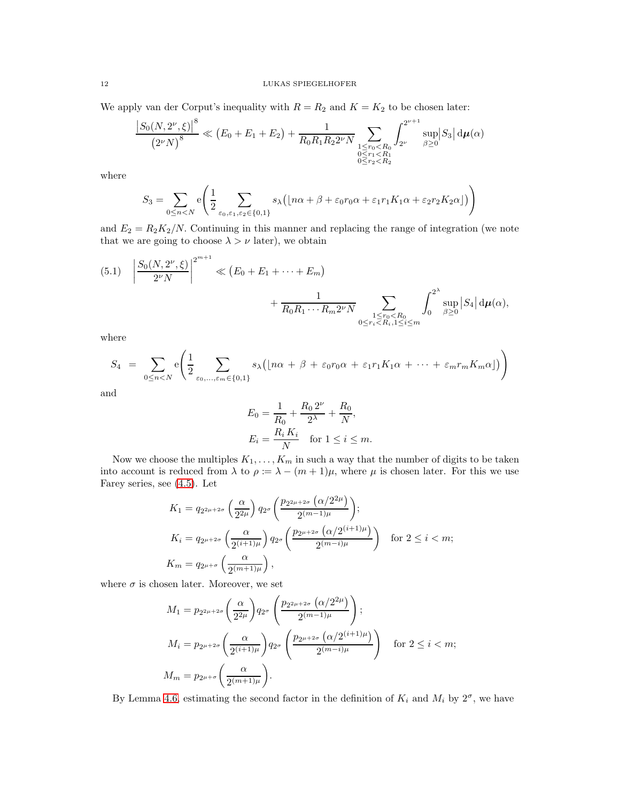We apply van der Corput's inequality with  $R = R_2$  and  $K = K_2$  to be chosen later:

$$
\frac{\left|S_0(N,2^{\nu},\xi)\right|^8}{\left(2^{\nu}N\right)^8} \ll \left(E_0 + E_1 + E_2\right) + \frac{1}{R_0R_1R_22^{\nu}N} \sum_{\substack{1 \le r_0 < R_0\\0 \le r_1 < R_1\\0 \le r_2 < R_2}} \int_{2^{\nu}}^{2^{\nu+1}} \sup_{\beta \ge 0} \left|S_3\right| \mathrm{d}\mu(\alpha)
$$

where

$$
S_3 = \sum_{0 \le n < N} e\left(\frac{1}{2} \sum_{\varepsilon_0, \varepsilon_1, \varepsilon_2 \in \{0, 1\}} s_\lambda \big( \lfloor n\alpha + \beta + \varepsilon_0 r_0 \alpha + \varepsilon_1 r_1 K_1 \alpha + \varepsilon_2 r_2 K_2 \alpha \rfloor \big) \right)
$$

and  $E_2 = R_2K_2/N$ . Continuing in this manner and replacing the range of integration (we note that we are going to choose  $\lambda > \nu$  later), we obtain

<span id="page-11-0"></span>
$$
(5.1) \left| \frac{S_0(N, 2^{\nu}, \xi)}{2^{\nu} N} \right|^{2^{m+1}} \ll (E_0 + E_1 + \dots + E_m) + \frac{1}{R_0 R_1 \cdots R_m 2^{\nu} N} \sum_{\substack{1 \le r_0 < R_0 \\ 0 \le r_i < R_i, 1 \le i \le m}} \int_0^{2^{\lambda}} \sup_{\beta \ge 0} |S_4| \, \mathrm{d} \mu(\alpha),
$$

where

$$
S_4 = \sum_{0 \leq n < N} e\left(\frac{1}{2} \sum_{\varepsilon_0, \dots, \varepsilon_m \in \{0, 1\}} s_\lambda \left(\lfloor n\alpha + \beta + \varepsilon_0 r_0 \alpha + \varepsilon_1 r_1 K_1 \alpha + \dots + \varepsilon_m r_m K_m \alpha \rfloor\right)\right)
$$

and

$$
E_0 = \frac{1}{R_0} + \frac{R_0 2^{\nu}}{2^{\lambda}} + \frac{R_0}{N},
$$
  
\n
$$
E_i = \frac{R_i K_i}{N} \quad \text{for } 1 \le i \le m.
$$

Now we choose the multiples  $K_1, \ldots, K_m$  in such a way that the number of digits to be taken into account is reduced from  $\lambda$  to  $\rho := \lambda - (m+1)\mu$ , where  $\mu$  is chosen later. For this we use Farey series, see [\(4.5\)](#page-9-3). Let

$$
K_1 = q_{2^{2\mu+2\sigma}} \left(\frac{\alpha}{2^{2\mu}}\right) q_{2^{\sigma}} \left(\frac{p_{2^{2\mu+2\sigma}}\left(\alpha/2^{2\mu}\right)}{2^{(m-1)\mu}}\right);
$$
  
\n
$$
K_i = q_{2^{\mu+2\sigma}} \left(\frac{\alpha}{2^{(i+1)\mu}}\right) q_{2^{\sigma}} \left(\frac{p_{2^{\mu+2\sigma}}\left(\alpha/2^{(i+1)\mu}\right)}{2^{(m-i)\mu}}\right) \quad \text{for } 2 \le i < m;
$$
  
\n
$$
K_m = q_{2^{\mu+\sigma}} \left(\frac{\alpha}{2^{(m+1)\mu}}\right),
$$

where  $\sigma$  is chosen later. Moreover, we set

$$
M_1 = p_{2^{2\mu+2\sigma}} \left(\frac{\alpha}{2^{2\mu}}\right) q_{2^{\sigma}} \left(\frac{p_{2^{2\mu+2\sigma}} (\alpha/2^{2\mu})}{2^{(m-1)\mu}}\right);
$$
  
\n
$$
M_i = p_{2^{\mu+2\sigma}} \left(\frac{\alpha}{2^{(i+1)\mu}}\right) q_{2^{\sigma}} \left(\frac{p_{2^{\mu+2\sigma}} (\alpha/2^{(i+1)\mu})}{2^{(m-i)\mu}}\right) \quad \text{for } 2 \le i < m;
$$
  
\n
$$
M_m = p_{2^{\mu+\sigma}} \left(\frac{\alpha}{2^{(m+1)\mu}}\right).
$$

By Lemma [4.6,](#page-9-1) estimating the second factor in the definition of  $K_i$  and  $M_i$  by  $2^{\sigma}$ , we have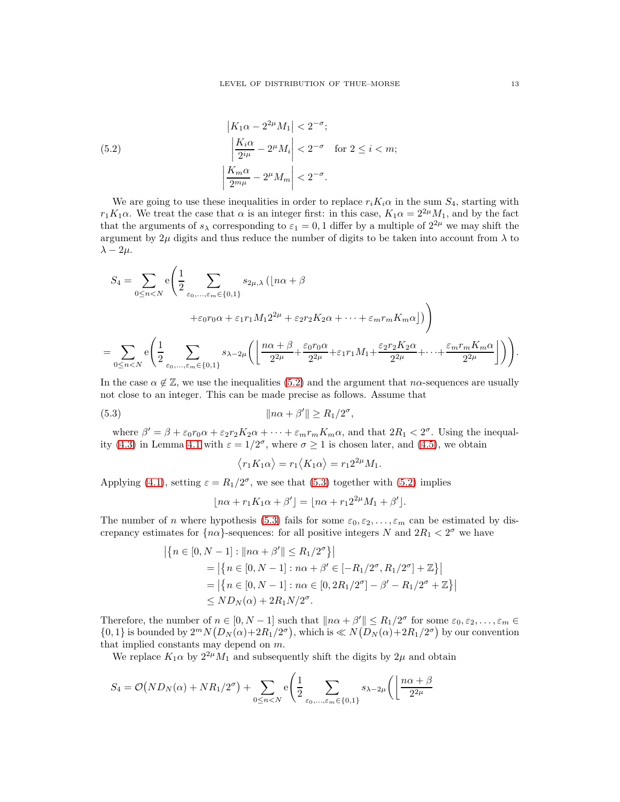<span id="page-12-0"></span>(5.2) 
$$
\begin{aligned} |K_1 \alpha - 2^{2\mu} M_1| &< 2^{-\sigma};\\ \left| \frac{K_i \alpha}{2^{i\mu}} - 2^{\mu} M_i \right| &< 2^{-\sigma} \quad \text{for } 2 \le i < m;\\ \left| \frac{K_m \alpha}{2^{m\mu}} - 2^{\mu} M_m \right| &< 2^{-\sigma}. \end{aligned}
$$

We are going to use these inequalities in order to replace  $r_iK_i\alpha$  in the sum  $S_4$ , starting with  $r_1K_1\alpha$ . We treat the case that  $\alpha$  is an integer first: in this case,  $K_1\alpha = 2^{2\mu}M_1$ , and by the fact that the arguments of  $s_\lambda$  corresponding to  $\varepsilon_1 = 0, 1$  differ by a multiple of  $2^{2\mu}$  we may shift the argument by  $2\mu$  digits and thus reduce the number of digits to be taken into account from  $\lambda$  to  $\lambda - 2\mu$ .

$$
S_4 = \sum_{0 \le n < N} e\left(\frac{1}{2} \sum_{\varepsilon_0, \dots, \varepsilon_m \in \{0, 1\}} s_{2\mu, \lambda} \left(\lfloor n\alpha + \beta \right.\right.\right.\left. + \varepsilon_0 r_0 \alpha + \varepsilon_1 r_1 M_1 2^{2\mu} + \varepsilon_2 r_2 K_2 \alpha + \dots + \varepsilon_m r_m K_m \alpha \rfloor\right)\right)
$$
\n
$$
= \sum_{0 \le n < N} e\left(\frac{1}{2} \sum_{\varepsilon_0, \dots, \varepsilon_m \in \{0, 1\}} s_{\lambda - 2\mu} \left(\left\lfloor \frac{n\alpha + \beta}{2^{2\mu}} + \frac{\varepsilon_0 r_0 \alpha}{2^{2\mu}} + \varepsilon_1 r_1 M_1 + \frac{\varepsilon_2 r_2 K_2 \alpha}{2^{2\mu}} + \dots + \frac{\varepsilon_m r_m K_m \alpha}{2^{2\mu}}\right\rfloor\right)\right).
$$

In the case  $\alpha \notin \mathbb{Z}$ , we use the inequalities [\(5.2\)](#page-12-0) and the argument that  $n\alpha$ -sequences are usually not close to an integer. This can be made precise as follows. Assume that

(5.3) knα + β ′ k ≥ R1/2 σ ,

 $\overline{a}$ 

where  $\beta' = \beta + \varepsilon_0 r_0 \alpha + \varepsilon_2 r_2 K_2 \alpha + \cdots + \varepsilon_m r_m K_m \alpha$ , and that  $2R_1 < 2^{\sigma}$ . Using the inequal-ity [\(4.3\)](#page-8-2) in Lemma [4.1](#page-8-3) with  $\varepsilon = 1/2^{\sigma}$ , where  $\sigma \ge 1$  is chosen later, and [\(4.5\)](#page-9-3), we obtain

<span id="page-12-1"></span>
$$
\langle r_1 K_1 \alpha \rangle = r_1 \langle K_1 \alpha \rangle = r_1 2^{2\mu} M_1.
$$

Applying [\(4.1\)](#page-8-4), setting  $\varepsilon = R_1/2^{\sigma}$ , we see that [\(5.3\)](#page-12-1) together with [\(5.2\)](#page-12-0) implies

$$
\lfloor n\alpha + r_1K_1\alpha + \beta' \rfloor = \lfloor n\alpha + r_1 2^{2\mu} M_1 + \beta' \rfloor.
$$

The number of n where hypothesis [\(5.3\)](#page-12-1) fails for some  $\varepsilon_0, \varepsilon_2, \ldots, \varepsilon_m$  can be estimated by discrepancy estimates for  $\{n\alpha\}$ -sequences: for all positive integers N and  $2R_1 < 2^{\sigma}$  we have

$$
\left| \{ n \in [0, N - 1] : ||n\alpha + \beta'|| \le R_1/2^{\sigma} \} \right|
$$
  
= 
$$
\left| \{ n \in [0, N - 1] : n\alpha + \beta' \in [-R_1/2^{\sigma}, R_1/2^{\sigma}] + \mathbb{Z} \} \right|
$$
  
= 
$$
\left| \{ n \in [0, N - 1] : n\alpha \in [0, 2R_1/2^{\sigma}] - \beta' - R_1/2^{\sigma} + \mathbb{Z} \} \right|
$$
  

$$
\le N D_N(\alpha) + 2R_1 N/2^{\sigma}.
$$

Therefore, the number of  $n \in [0, N-1]$  such that  $||n\alpha + \beta'|| \leq R_1/2^{\sigma}$  for some  $\varepsilon_0, \varepsilon_2, \ldots, \varepsilon_m \in$  $\{0,1\}$  is bounded by  $2^m N(D_N(\alpha)+2R_1/2^{\sigma})$ , which is  $\ll N(D_N(\alpha)+2R_1/2^{\sigma})$  by our convention that implied constants may depend on m.

We replace  $K_1\alpha$  by  $2^{2\mu}M_1$  and subsequently shift the digits by  $2\mu$  and obtain

$$
S_4 = \mathcal{O}(ND_N(\alpha) + NR_1/2^{\sigma}) + \sum_{0 \le n < N} e\left(\frac{1}{2} \sum_{\varepsilon_0, \dots, \varepsilon_m \in \{0, 1\}} s_{\lambda - 2\mu}\right) \left(\frac{n\alpha + \beta}{2^{2\mu}}\right)
$$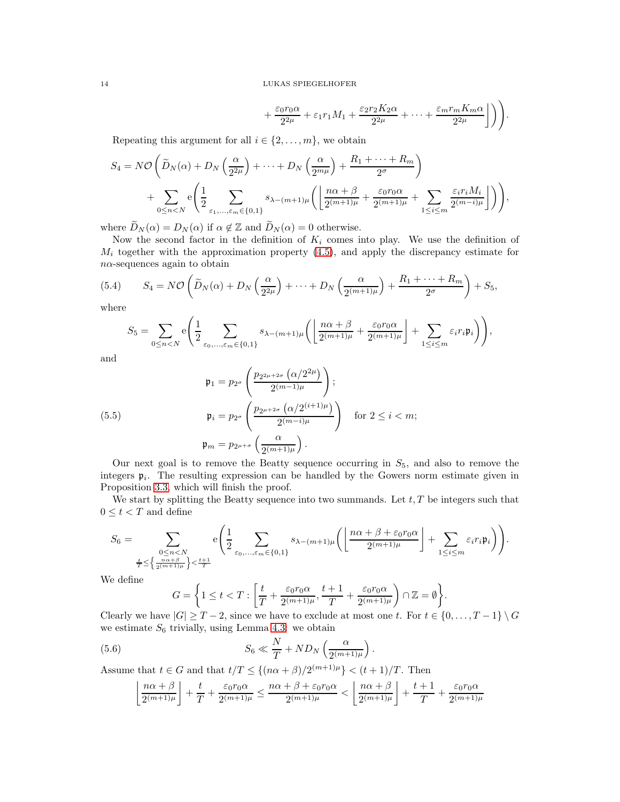$$
+\frac{\varepsilon_0 r_0 \alpha}{2^{2\mu}} + \varepsilon_1 r_1 M_1 + \frac{\varepsilon_2 r_2 K_2 \alpha}{2^{2\mu}} + \dots + \frac{\varepsilon_m r_m K_m \alpha}{2^{2\mu}} \bigg] \bigg) \bigg).
$$

Repeating this argument for all  $i \in \{2, \ldots, m\}$ , we obtain

$$
S_4 = N\mathcal{O}\left(\widetilde{D}_N(\alpha) + D_N\left(\frac{\alpha}{2^{2\mu}}\right) + \dots + D_N\left(\frac{\alpha}{2^{m\mu}}\right) + \frac{R_1 + \dots + R_m}{2^{\sigma}}\right) + \sum_{0 \le n < N} e\left(\frac{1}{2}\sum_{\varepsilon_1, \dots, \varepsilon_m \in \{0, 1\}} s_{\lambda - (m+1)\mu}\left(\left\lfloor\frac{n\alpha + \beta}{2^{(m+1)\mu}} + \frac{\varepsilon_0 r_0 \alpha}{2^{(m+1)\mu}} + \sum_{1 \le i \le m} \frac{\varepsilon_i r_i M_i}{2^{(m-i)\mu}}\right\rfloor\right)\right),
$$

where  $\widetilde{D}_N(\alpha) = D_N(\alpha)$  if  $\alpha \notin \mathbb{Z}$  and  $\widetilde{D}_N(\alpha) = 0$  otherwise.

Now the second factor in the definition of  $K_i$  comes into play. We use the definition of  $M_i$  together with the approximation property [\(4.5\)](#page-9-3), and apply the discrepancy estimate for  $n\alpha$  -sequences again to obtain

(5.4) 
$$
S_4 = N\mathcal{O}\left(\widetilde{D}_N(\alpha) + D_N\left(\frac{\alpha}{2^{2\mu}}\right) + \dots + D_N\left(\frac{\alpha}{2^{(m+1)\mu}}\right) + \frac{R_1 + \dots + R_m}{2^{\sigma}}\right) + S_5,
$$

where

<span id="page-13-2"></span>
$$
S_5 = \sum_{0 \le n < N} e\left(\frac{1}{2} \sum_{\varepsilon_0, \dots, \varepsilon_m \in \{0, 1\}} s_{\lambda - (m+1)\mu} \left( \left\lfloor \frac{n\alpha + \beta}{2^{(m+1)\mu}} + \frac{\varepsilon_0 r_0 \alpha}{2^{(m+1)\mu}} \right\rfloor + \sum_{1 \le i \le m} \varepsilon_i r_i \mathfrak{p}_i \right) \right),
$$

and

<span id="page-13-0"></span>(5.5)  
\n
$$
\mathfrak{p}_1 = p_{2^{\sigma}} \left( \frac{p_{2^{2\mu+2\sigma}} \left( \alpha/2^{2\mu} \right)}{2^{(m-1)\mu}} \right);
$$
\n
$$
\mathfrak{p}_i = p_{2^{\sigma}} \left( \frac{p_{2^{\mu+2\sigma}} \left( \alpha/2^{(i+1)\mu} \right)}{2^{(m-i)\mu}} \right) \quad \text{for } 2 \le i < m;
$$
\n
$$
\mathfrak{p}_m = p_{2^{\mu+\sigma}} \left( \frac{\alpha}{2^{(m+1)\mu}} \right).
$$

Our next goal is to remove the Beatty sequence occurring in  $S_5$ , and also to remove the integers  $\mathfrak{p}_i$ . The resulting expression can be handled by the Gowers norm estimate given in Proposition [3.3,](#page-7-3) which will finish the proof.

We start by splitting the Beatty sequence into two summands. Let  $t, T$  be integers such that  $0 \leq t < T$  and define

$$
S_6=\sum_{\substack{0\leq n< N\\ \frac{n\alpha+\beta}{2}\leq \left\{\frac{n\alpha+\beta}{2^{(m+1)\mu}}\right\}<\frac{t+1}{T}}} \mathrm{e}\Bigg(\frac{1}{2}\sum_{\varepsilon_0,...,\varepsilon_m\in\{0,1\}}s_{\lambda-(m+1)\mu}\bigg(\bigg\lfloor\frac{n\alpha+\beta+\varepsilon_0r_0\alpha}{2^{(m+1)\mu}}\bigg\rfloor+\sum_{1\leq i\leq m}\varepsilon_ir_i\mathfrak{p}_i\bigg)\Bigg).
$$

We define

<span id="page-13-1"></span>
$$
G = \left\{1 \leq t < T : \left[\frac{t}{T} + \frac{\varepsilon_0 r_0 \alpha}{2^{(m+1)\mu}}, \frac{t+1}{T} + \frac{\varepsilon_0 r_0 \alpha}{2^{(m+1)\mu}}\right) \cap \mathbb{Z} = \emptyset\right\}.
$$

Clearly we have  $|G| \geq T - 2$ , since we have to exclude at most one t. For  $t \in \{0, ..., T - 1\} \setminus G$ we estimate  $S_6$  trivially, using Lemma [4.3:](#page-8-5) we obtain

(5.6) 
$$
S_6 \ll \frac{N}{T} + ND_N \left( \frac{\alpha}{2^{(m+1)\mu}} \right).
$$

Assume that  $t \in G$  and that  $t/T \leq \{(n\alpha + \beta)/2^{(m+1)\mu}\} < (t+1)/T$ . Then

$$
\left\lfloor \frac{n\alpha+\beta}{2^{(m+1)\mu}} \right\rfloor + \frac{t}{T} + \frac{\varepsilon_0 r_0 \alpha}{2^{(m+1)\mu}} \le \frac{n\alpha+\beta+\varepsilon_0 r_0 \alpha}{2^{(m+1)\mu}} < \left\lfloor \frac{n\alpha+\beta}{2^{(m+1)\mu}} \right\rfloor + \frac{t+1}{T} + \frac{\varepsilon_0 r_0 \alpha}{2^{(m+1)\mu}}
$$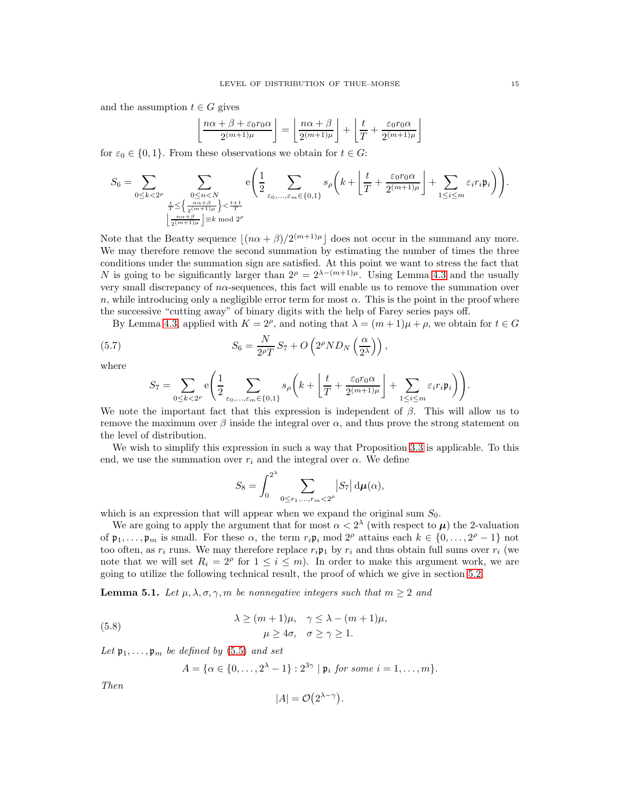and the assumption  $t \in G$  gives

$$
\left\lfloor \frac{n\alpha + \beta + \varepsilon_0 r_0 \alpha}{2^{(m+1)\mu}} \right\rfloor = \left\lfloor \frac{n\alpha + \beta}{2^{(m+1)\mu}} \right\rfloor + \left\lfloor \frac{t}{T} + \frac{\varepsilon_0 r_0 \alpha}{2^{(m+1)\mu}} \right\rfloor
$$

for  $\varepsilon_0 \in \{0,1\}$ . From these observations we obtain for  $t \in G$ :

$$
S_6 = \sum_{0 \leq k < 2^\rho} \sum_{\substack{0 \leq n < N \\ \frac{r}{T} \leq \left\{ \frac{n\alpha + \beta}{2^{(m+1)\mu}} \right\} < \frac{t+1}{T}}} e\left(\frac{1}{2} \sum_{\varepsilon_0, \dots, \varepsilon_m \in \{0,1\}} s_\rho\left( k + \left\lfloor \frac{t}{T} + \frac{\varepsilon_0 r_0 \alpha}{2^{(m+1)\mu}} \right\rfloor + \sum_{1 \leq i \leq m} \varepsilon_i r_i \mathfrak{p}_i \right)\right).
$$

Note that the Beatty sequence  $\lfloor (n\alpha + \beta)/2^{(m+1)\mu} \rfloor$  does not occur in the summand any more. We may therefore remove the second summation by estimating the number of times the three conditions under the summation sign are satisfied. At this point we want to stress the fact that N is going to be significantly larger than  $2^{\rho} = 2^{\lambda - (m+1)\mu}$ . Using Lemma [4.3](#page-8-5) and the usually very small discrepancy of  $n\alpha$ -sequences, this fact will enable us to remove the summation over n, while introducing only a negligible error term for most  $\alpha$ . This is the point in the proof where the successive "cutting away" of binary digits with the help of Farey series pays off.

By Lemma [4.3,](#page-8-5) applied with  $K = 2^{\rho}$ , and noting that  $\lambda = (m+1)\mu + \rho$ , we obtain for  $t \in G$ 

(5.7) 
$$
S_6 = \frac{N}{2^{\rho}T}S_7 + O\left(2^{\rho}ND_N\left(\frac{\alpha}{2^{\lambda}}\right)\right),
$$

where

<span id="page-14-0"></span>
$$
S_7 = \sum_{0 \le k < 2^{\rho}} \mathbf{e} \left( \frac{1}{2} \sum_{\varepsilon_0, \dots, \varepsilon_m \in \{0, 1\}} s_{\rho} \left( k + \left\lfloor \frac{t}{T} + \frac{\varepsilon_0 r_0 \alpha}{2^{(m+1)\mu}} \right\rfloor + \sum_{1 \le i \le m} \varepsilon_i r_i \mathfrak{p}_i \right) \right).
$$

We note the important fact that this expression is independent of  $\beta$ . This will allow us to remove the maximum over  $\beta$  inside the integral over  $\alpha$ , and thus prove the strong statement on the level of distribution.

We wish to simplify this expression in such a way that Proposition [3.3](#page-7-3) is applicable. To this end, we use the summation over  $r_i$  and the integral over  $\alpha$ . We define

$$
S_8 = \int_0^{2^{\lambda}} \sum_{0 \le r_1, \dots, r_m < 2^{\rho}} |S_7| \, \mathrm{d}\mu(\alpha),
$$

which is an expression that will appear when we expand the original sum  $S_0$ .

We are going to apply the argument that for most  $\alpha < 2^{\lambda}$  (with respect to  $\mu$ ) the 2-valuation of  $\mathfrak{p}_1,\ldots,\mathfrak{p}_m$  is small. For these  $\alpha$ , the term  $r_i \mathfrak{p}_i \bmod 2^\rho$  attains each  $k \in \{0,\ldots,2^\rho-1\}$  not too often, as  $r_i$  runs. We may therefore replace  $r_i \mathfrak{p}_1$  by  $r_i$  and thus obtain full sums over  $r_i$  (we note that we will set  $R_i = 2^{\rho}$  for  $1 \leq i \leq m$ ). In order to make this argument work, we are going to utilize the following technical result, the proof of which we give in section [5.2.](#page-18-0)

<span id="page-14-1"></span>**Lemma 5.1.** Let  $\mu, \lambda, \sigma, \gamma, m$  be nonnegative integers such that  $m \geq 2$  and

(5.8) 
$$
\lambda \ge (m+1)\mu, \quad \gamma \le \lambda - (m+1)\mu,
$$

$$
\mu \ge 4\sigma, \quad \sigma \ge \gamma \ge 1.
$$

Let  $\mathfrak{p}_1, \ldots, \mathfrak{p}_m$  be defined by [\(5.5\)](#page-13-0) and set

<span id="page-14-2"></span>
$$
A = \{ \alpha \in \{0,\ldots,2^{\lambda}-1\} : 2^{3\gamma} \mid \mathfrak{p}_i \text{ for some } i = 1,\ldots,m \}.
$$

Then

$$
|A| = \mathcal{O}(2^{\lambda - \gamma}).
$$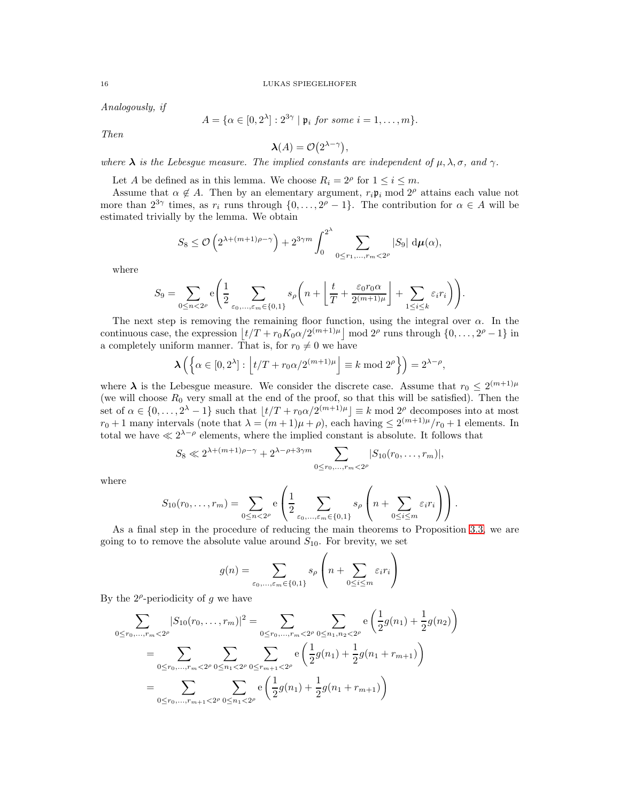Analogously, if

$$
A = \{ \alpha \in [0, 2^{\lambda}] : 2^{3\gamma} \mid \mathfrak{p}_i \text{ for some } i = 1, \dots, m \}.
$$

Then

$$
\lambda(A) = \mathcal{O}(2^{\lambda - \gamma}),
$$

where  $\lambda$  is the Lebesgue measure. The implied constants are independent of  $\mu, \lambda, \sigma$ , and  $\gamma$ .

Let A be defined as in this lemma. We choose  $R_i = 2^{\rho}$  for  $1 \le i \le m$ .

Assume that  $\alpha \notin A$ . Then by an elementary argument,  $r_i \mathfrak{p}_i \mod 2^{\rho}$  attains each value not more than  $2^{3\gamma}$  times, as  $r_i$  runs through  $\{0, \ldots, 2^{\rho} - 1\}$ . The contribution for  $\alpha \in A$  will be estimated trivially by the lemma. We obtain

$$
S_8 \le \mathcal{O}\left(2^{\lambda + (m+1)\rho - \gamma}\right) + 2^{3\gamma m} \int_0^{2^{\lambda}} \sum_{0 \le r_1, \dots, r_m < 2^{\rho}} |S_9| \, \mathrm{d}\mu(\alpha),
$$

where

$$
S_9 = \sum_{0 \le n < 2^{\rho}} \mathbf{e} \left( \frac{1}{2} \sum_{\varepsilon_0, \dots, \varepsilon_m \in \{0, 1\}} s_{\rho} \left( n + \left\lfloor \frac{t}{T} + \frac{\varepsilon_0 r_0 \alpha}{2^{(m+1)\mu}} \right\rfloor + \sum_{1 \le i \le k} \varepsilon_i r_i \right) \right).
$$

The next step is removing the remaining floor function, using the integral over  $\alpha$ . In the continuous case, the expression  $\left| t/T + r_0 K_0 \alpha / 2^{(m+1)\mu} \right|$  mod  $2^{\rho}$  runs through  $\{0, \ldots, 2^{\rho} - 1\}$  in a completely uniform manner. That is, for  $r_0 \neq 0$  we have

$$
\lambda\left(\left\{\alpha \in [0,2^{\lambda}]: \left\lfloor t/T + r_0 \alpha/2^{(m+1)\mu} \right\rfloor \equiv k \bmod 2^{\rho} \right\}\right) = 2^{\lambda - \rho},
$$

where  $\lambda$  is the Lebesgue measure. We consider the discrete case. Assume that  $r_0 \leq 2^{(m+1)\mu}$ (we will choose  $R_0$  very small at the end of the proof, so that this will be satisfied). Then the set of  $\alpha \in \{0, \ldots, 2^{\lambda} - 1\}$  such that  $\lfloor t/T + r_0 \alpha/2^{(m+1)\mu} \rfloor \equiv k \mod 2^{\rho}$  decomposes into at most  $r_0+1$  many intervals (note that  $\lambda = (m+1)\mu + \rho$ ), each having  $\leq 2^{(m+1)\mu}/r_0 + 1$  elements. In total we have  $\ll 2^{\lambda-\rho}$  elements, where the implied constant is absolute. It follows that

$$
S_8 \ll 2^{\lambda + (m+1)\rho - \gamma} + 2^{\lambda - \rho + 3\gamma m} \sum_{0 \le r_0, \dots, r_m < 2^{\rho}} |S_{10}(r_0, \dots, r_m)|,
$$

where

$$
S_{10}(r_0,\ldots,r_m) = \sum_{0 \le n < 2^\rho} \mathbf{e} \left( \frac{1}{2} \sum_{\varepsilon_0,\ldots,\varepsilon_m \in \{0,1\}} s_\rho \left( n + \sum_{0 \le i \le m} \varepsilon_i r_i \right) \right).
$$

As a final step in the procedure of reducing the main theorems to Proposition [3.3,](#page-7-3) we are going to to remove the absolute value around  $S_{10}$ . For brevity, we set

$$
g(n) = \sum_{\varepsilon_0, ..., \varepsilon_m \in \{0, 1\}} s_{\rho} \left( n + \sum_{0 \le i \le m} \varepsilon_i r_i \right)
$$

By the  $2^{\rho}$ -periodicity of g we have

$$
\sum_{0 \le r_0, \dots, r_m < 2^{\rho}} |S_{10}(r_0, \dots, r_m)|^2 = \sum_{0 \le r_0, \dots, r_m < 2^{\rho}} \sum_{0 \le n_1, n_2 < 2^{\rho}} e\left(\frac{1}{2}g(n_1) + \frac{1}{2}g(n_2)\right)
$$
\n
$$
= \sum_{0 \le r_0, \dots, r_m < 2^{\rho}} \sum_{0 \le n_1 < 2^{\rho}} \sum_{0 \le r_{m+1} < 2^{\rho}} e\left(\frac{1}{2}g(n_1) + \frac{1}{2}g(n_1 + r_{m+1})\right)
$$
\n
$$
= \sum_{0 \le r_0, \dots, r_{m+1} < 2^{\rho}} \sum_{0 \le n_1 < 2^{\rho}} e\left(\frac{1}{2}g(n_1) + \frac{1}{2}g(n_1 + r_{m+1})\right)
$$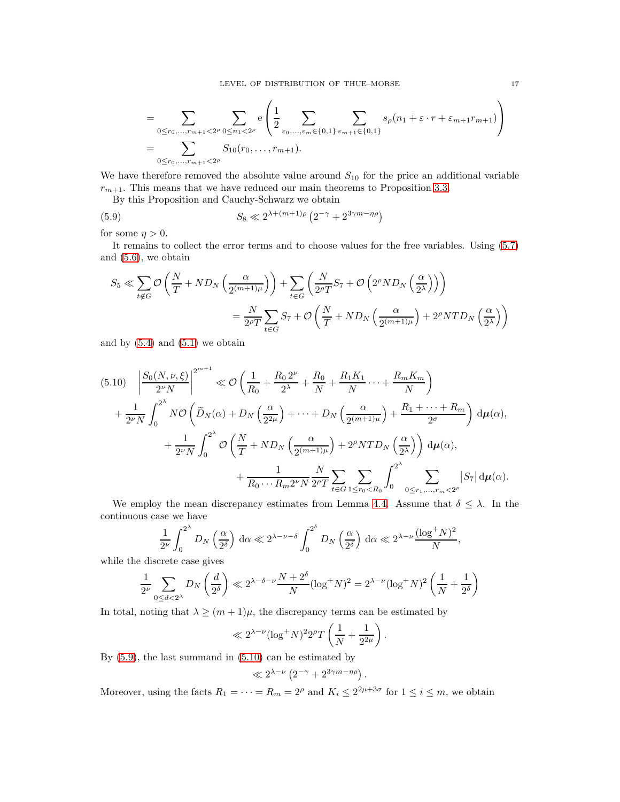<span id="page-16-0"></span> $\overline{ }$ 

$$
= \sum_{0 \le r_0, \dots, r_{m+1} < 2^{\rho}} \sum_{0 \le n_1 < 2^{\rho}} e\left(\frac{1}{2} \sum_{\varepsilon_0, \dots, \varepsilon_m \in \{0, 1\}} \sum_{\varepsilon_{m+1} \in \{0, 1\}} s_{\rho}(n_1 + \varepsilon \cdot r + \varepsilon_{m+1} r_{m+1})\right)
$$
\n
$$
= \sum_{0 \le r_0, \dots, r_{m+1} < 2^{\rho}} S_{10}(r_0, \dots, r_{m+1}).
$$

We have therefore removed the absolute value around  $S_{10}$  for the price an additional variable  $r_{m+1}$ . This means that we have reduced our main theorems to Proposition [3.3.](#page-7-3)

By this Proposition and Cauchy-Schwarz we obtain

(5.9) 
$$
S_8 \ll 2^{\lambda + (m+1)\rho} \left( 2^{-\gamma} + 2^{3\gamma m - \eta \rho} \right)
$$

for some  $\eta > 0$ .

It remains to collect the error terms and to choose values for the free variables. Using [\(5.7\)](#page-14-0) and [\(5.6\)](#page-13-1), we obtain

$$
S_5 \ll \sum_{t \notin G} \mathcal{O}\left(\frac{N}{T} + ND_N\left(\frac{\alpha}{2^{(m+1)\mu}}\right)\right) + \sum_{t \in G} \left(\frac{N}{2^{\rho}T}S_7 + \mathcal{O}\left(2^{\rho}ND_N\left(\frac{\alpha}{2^{\lambda}}\right)\right)\right)
$$

$$
= \frac{N}{2^{\rho}T} \sum_{t \in G} S_7 + \mathcal{O}\left(\frac{N}{T} + ND_N\left(\frac{\alpha}{2^{(m+1)\mu}}\right) + 2^{\rho}NTD_N\left(\frac{\alpha}{2^{\lambda}}\right)\right)
$$

and by  $(5.4)$  and  $(5.1)$  we obtain

<span id="page-16-1"></span>
$$
(5.10) \quad \left| \frac{S_0(N,\nu,\xi)}{2^{\nu}N} \right|^{2^{m+1}} \ll \mathcal{O}\left(\frac{1}{R_0} + \frac{R_0 2^{\nu}}{2^{\lambda}} + \frac{R_0}{N} + \frac{R_1 K_1}{N} \cdots + \frac{R_m K_m}{N} \right) + \frac{1}{2^{\nu}N} \int_0^{2^{\lambda}} N \mathcal{O}\left(\widetilde{D}_N(\alpha) + D_N\left(\frac{\alpha}{2^{2\mu}}\right) + \cdots + D_N\left(\frac{\alpha}{2^{(m+1)\mu}}\right) + \frac{R_1 + \cdots + R_m}{2^{\sigma}}\right) d\mu(\alpha), + \frac{1}{2^{\nu}N} \int_0^{2^{\lambda}} \mathcal{O}\left(\frac{N}{T} + N D_N\left(\frac{\alpha}{2^{(m+1)\mu}}\right) + 2^{\rho} N T D_N\left(\frac{\alpha}{2^{\lambda}}\right)\right) d\mu(\alpha), + \frac{1}{R_0 \cdots R_m 2^{\nu} N} \frac{N}{2^{\rho} T} \sum_{t \in G} \sum_{1 \le r_0 < R_0} \int_0^{2^{\lambda}} \sum_{0 \le r_1, \ldots, r_m < 2^{\rho}} |S_7| d\mu(\alpha).
$$

We employ the mean discrepancy estimates from Lemma [4.4.](#page-8-6) Assume that  $\delta \leq \lambda$ . In the continuous case we have

$$
\frac{1}{2^{\nu}} \int_0^{2^{\lambda}} D_N\left(\frac{\alpha}{2^{\delta}}\right) d\alpha \ll 2^{\lambda - \nu - \delta} \int_0^{2^{\delta}} D_N\left(\frac{\alpha}{2^{\delta}}\right) d\alpha \ll 2^{\lambda - \nu} \frac{(\log^+ N)^2}{N},
$$

while the discrete case gives

$$
\frac{1}{2^{\nu}}\sum_{0\leq d<2^{\lambda}}D_{N}\left(\frac{d}{2^{\delta}}\right)\ll 2^{\lambda-\delta-\nu}\frac{N+2^{\delta}}{N}(\log^{+}N)^{2}=2^{\lambda-\nu}(\log^{+}N)^{2}\left(\frac{1}{N}+\frac{1}{2^{\delta}}\right)
$$

In total, noting that  $\lambda \geq (m+1)\mu$ , the discrepancy terms can be estimated by

$$
\ll 2^{\lambda-\nu} (\log^+N)^2 2^{\rho} T\left(\frac{1}{N} + \frac{1}{2^{2\mu}}\right).
$$

By [\(5.9\)](#page-16-0), the last summand in [\(5.10\)](#page-16-1) can be estimated by

$$
\ll 2^{\lambda-\nu}\left(2^{-\gamma}+2^{3\gamma m-\eta\rho}\right).
$$

Moreover, using the facts  $R_1 = \cdots = R_m = 2^{\rho}$  and  $K_i \leq 2^{2\mu + 3\sigma}$  for  $1 \leq i \leq m$ , we obtain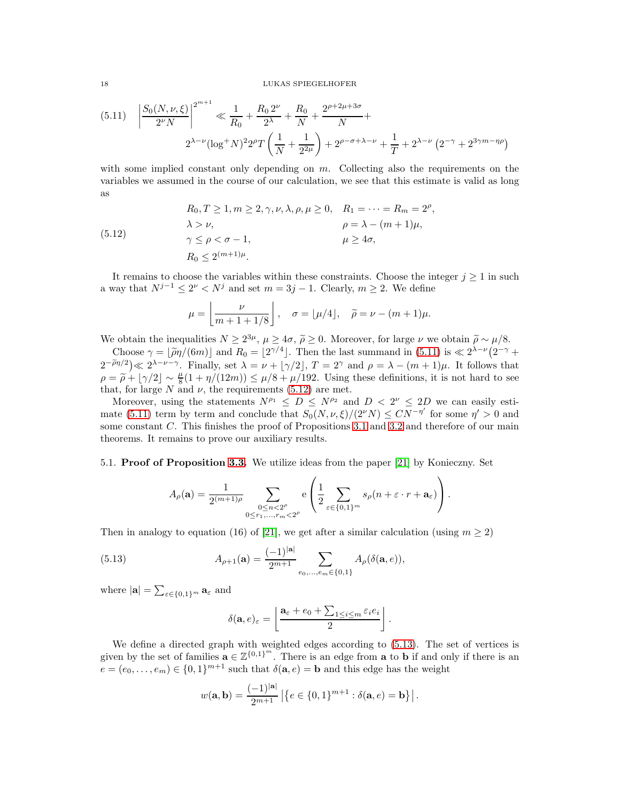<span id="page-17-0"></span>
$$
(5.11) \quad \left| \frac{S_0(N,\nu,\xi)}{2^{\nu}N} \right|^{2^{m+1}} \ll \frac{1}{R_0} + \frac{R_0 2^{\nu}}{2^{\lambda}} + \frac{R_0}{N} + \frac{2^{\rho+2\mu+3\sigma}}{N} + \frac{2^{\lambda-\nu}(\log^+ N)^2 2^{\rho} T \left(\frac{1}{N} + \frac{1}{2^{2\mu}}\right) + 2^{\rho-\sigma+\lambda-\nu} + \frac{1}{T} + 2^{\lambda-\nu} \left(2^{-\gamma} + 2^{3\gamma m - \eta\rho}\right)}{2^{\lambda-\nu}(\log^+ N)^2 2^{\rho} T \left(\frac{1}{N} + \frac{1}{2^{2\mu}}\right) + 2^{\rho-\sigma+\lambda-\nu} + \frac{1}{T} + 2^{\lambda-\nu} \left(2^{-\gamma} + 2^{3\gamma m - \eta\rho}\right)}
$$

with some implied constant only depending on  $m$ . Collecting also the requirements on the variables we assumed in the course of our calculation, we see that this estimate is valid as long as

(5.12) 
$$
R_0, T \ge 1, m \ge 2, \gamma, \nu, \lambda, \rho, \mu \ge 0, \quad R_1 = \cdots = R_m = 2^{\rho},
$$

$$
\lambda > \nu, \qquad \rho = \lambda - (m+1)\mu,
$$

$$
\gamma \le \rho < \sigma - 1, \qquad \mu \ge 4\sigma,
$$

$$
R_0 \le 2^{(m+1)\mu}.
$$

It remains to choose the variables within these constraints. Choose the integer  $j \geq 1$  in such a way that  $N^{j-1} \leq 2^{\nu} < N^j$  and set  $m = 3j - 1$ . Clearly,  $m \geq 2$ . We define

<span id="page-17-1"></span>
$$
\mu = \left\lfloor \frac{\nu}{m+1+1/8} \right\rfloor, \quad \sigma = \lfloor \mu/4 \rfloor, \quad \widetilde{\rho} = \nu - (m+1)\mu.
$$

We obtain the inequalities  $N \geq 2^{3\mu}$ ,  $\mu \geq 4\sigma$ ,  $\tilde{\rho} \geq 0$ . Moreover, for large  $\nu$  we obtain  $\tilde{\rho} \sim \mu/8$ .

Choose  $\gamma = \lfloor \tilde{\rho} \eta / (6m) \rfloor$  and  $R_0 = \lfloor 2^{\gamma/4} \rfloor$ . Then the last summand in [\(5.11\)](#page-17-0) is  $\ll 2^{\lambda - \nu} (2^{-\gamma} + 1)$  $(2-\tilde{\rho}\eta/2)\ll 2^{\lambda-\nu-\gamma}$ . Finally, set  $\lambda=\nu+\lfloor \gamma/2\rfloor$ ,  $T=2^{\gamma}$  and  $\rho=\lambda-(m+1)\mu$ . It follows that  $\rho = \tilde{\rho} + [\gamma/2] \sim \frac{\mu}{8}(1 + \eta/(12m)) \leq \mu/8 + \mu/192$ . Using these definitions, it is not hard to see that, for large N and  $\nu$ , the requirements [\(5.12\)](#page-17-1) are met.

Moreover, using the statements  $N^{\rho_1} \le D \le N^{\rho_2}$  and  $D < 2^{\nu} \le 2D$  we can easily esti-mate [\(5.11\)](#page-17-0) term by term and conclude that  $S_0(N, \nu, \xi)/(2^{\nu}N) \leq CN^{-\eta'}$  for some  $\eta' > 0$  and some constant C. This finishes the proof of Propositions [3.1](#page-7-1) and [3.2](#page-7-2) and therefore of our main theorems. It remains to prove our auxiliary results.

5.1. Proof of Proposition [3.3.](#page-7-3) We utilize ideas from the paper [\[21\]](#page-21-6) by Konieczny. Set

$$
A_{\rho}(\mathbf{a}) = \frac{1}{2^{(m+1)\rho}} \sum_{\substack{0 \leq n < 2^{\rho} \\ 0 \leq r_1, \dots, r_m < 2^{\rho}}} e\left(\frac{1}{2} \sum_{\varepsilon \in \{0,1\}^m} s_{\rho}(n+\varepsilon \cdot r + \mathbf{a}_{\varepsilon})\right).
$$

Then in analogy to equation (16) of [\[21\]](#page-21-6), we get after a similar calculation (using  $m \ge 2$ )

(5.13) 
$$
A_{\rho+1}(\mathbf{a}) = \frac{(-1)^{|\mathbf{a}|}}{2^{m+1}} \sum_{e_0, ..., e_m \in \{0,1\}} A_{\rho}(\delta(\mathbf{a}, e)),
$$

where  $|\mathbf{a}| = \sum_{\varepsilon \in \{0,1\}^m} \mathbf{a}_{\varepsilon}$  and

<span id="page-17-2"></span>
$$
\delta(\mathbf{a},e)_{\varepsilon} = \left\lfloor \frac{\mathbf{a}_{\varepsilon} + e_0 + \sum_{1 \leq i \leq m} \varepsilon_i e_i}{2} \right\rfloor.
$$

We define a directed graph with weighted edges according to [\(5.13\)](#page-17-2). The set of vertices is given by the set of families  $\mathbf{a} \in \mathbb{Z}^{\{0,1\}^m}$ . There is an edge from  $\mathbf{a}$  to b if and only if there is an  $e = (e_0, \ldots, e_m) \in \{0, 1\}^{m+1}$  such that  $\delta(\mathbf{a}, e) = \mathbf{b}$  and this edge has the weight

$$
w(\mathbf{a},\mathbf{b})=\frac{(-1)^{|\mathbf{a}|}}{2^{m+1}}\left|\left\{e\in\{0,1\}^{m+1}:\delta(\mathbf{a},e)=\mathbf{b}\right\}\right|.
$$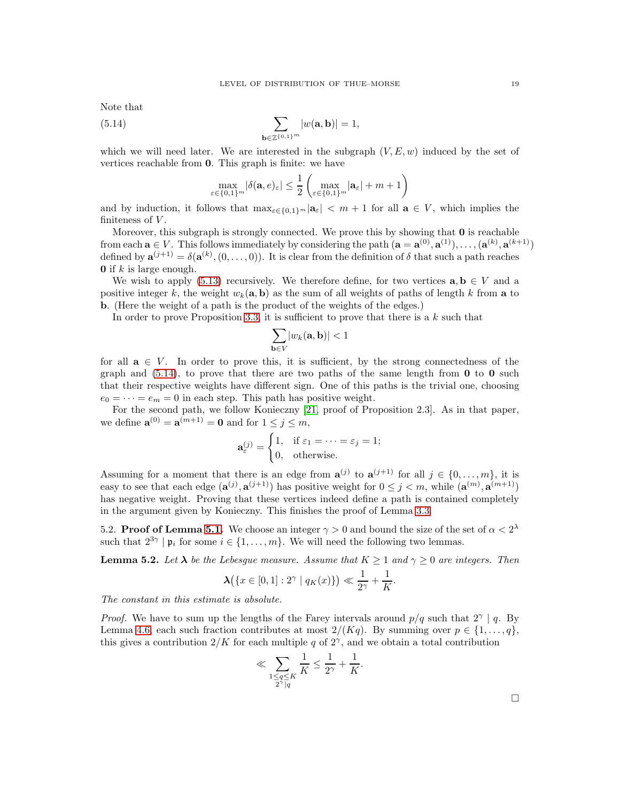Note that

(5.14) 
$$
\sum_{\mathbf{b}\in\mathbb{Z}\{0,1\}^m}|w(\mathbf{a},\mathbf{b})|=1,
$$

which we will need later. We are interested in the subgraph  $(V, E, w)$  induced by the set of vertices reachable from 0. This graph is finite: we have

<span id="page-18-1"></span>
$$
\max_{\varepsilon\in\{0,1\}^m} |\delta({\bf a},e)_\varepsilon|\leq \frac{1}{2}\left(\max_{\varepsilon\in\{0,1\}^m}|{\bf a}_\varepsilon|+m+1\right)
$$

and by induction, it follows that  $\max_{\varepsilon \in \{0,1\}^m} |\mathbf{a}_{\varepsilon}| < m+1$  for all  $\mathbf{a} \in V$ , which implies the finiteness of  $V$ .

Moreover, this subgraph is strongly connected. We prove this by showing that 0 is reachable from each  $\mathbf{a} \in V$ . This follows immediately by considering the path  $(\mathbf{a} = \mathbf{a}^{(0)}, \mathbf{a}^{(1)}), \ldots, (\mathbf{a}^{(k)}, \mathbf{a}^{(k+1)})$ defined by  $\mathbf{a}^{(j+1)} = \delta(\mathbf{a}^{(k)}, (0, \ldots, 0)).$  It is clear from the definition of  $\delta$  that such a path reaches **0** if  $k$  is large enough.

We wish to apply [\(5.13\)](#page-17-2) recursively. We therefore define, for two vertices  $\mathbf{a}, \mathbf{b} \in V$  and a positive integer k, the weight  $w_k(a, b)$  as the sum of all weights of paths of length k from a to b. (Here the weight of a path is the product of the weights of the edges.)

In order to prove Proposition [3.3,](#page-7-3) it is sufficient to prove that there is a  $k$  such that

$$
\sum_{\mathbf{b}\in V} |w_k(\mathbf{a},\mathbf{b})| < 1
$$

for all  $a \in V$ . In order to prove this, it is sufficient, by the strong connectedness of the graph and  $(5.14)$ , to prove that there are two paths of the same length from **0** to **0** such that their respective weights have different sign. One of this paths is the trivial one, choosing  $e_0 = \cdots = e_m = 0$  in each step. This path has positive weight.

For the second path, we follow Konieczny [\[21,](#page-21-6) proof of Proposition 2.3]. As in that paper, we define  $\mathbf{a}^{(0)} = \mathbf{a}^{(m+1)} = \mathbf{0}$  and for  $1 \leq j \leq m$ ,

$$
\mathbf{a}_{\varepsilon}^{(j)} = \begin{cases} 1, & \text{if } \varepsilon_1 = \dots = \varepsilon_j = 1; \\ 0, & \text{otherwise.} \end{cases}
$$

Assuming for a moment that there is an edge from  $\mathbf{a}^{(j)}$  to  $\mathbf{a}^{(j+1)}$  for all  $j \in \{0, ..., m\}$ , it is easy to see that each edge  $(\mathbf{a}^{(j)}, \mathbf{a}^{(j+1)})$  has positive weight for  $0 \leq j < m$ , while  $(\mathbf{a}^{(m)}, \mathbf{a}^{(m+1)})$ has negative weight. Proving that these vertices indeed define a path is contained completely in the argument given by Konieczny. This finishes the proof of Lemma [3.3.](#page-7-3)

<span id="page-18-0"></span>5.2. Proof of Lemma [5.1.](#page-14-1) We choose an integer  $\gamma > 0$  and bound the size of the set of  $\alpha < 2^{\lambda}$ such that  $2^{3\gamma} | \mathfrak{p}_i$  for some  $i \in \{1, ..., m\}$ . We will need the following two lemmas.

<span id="page-18-2"></span>**Lemma 5.2.** Let  $\lambda$  be the Lebesgue measure. Assume that  $K \geq 1$  and  $\gamma \geq 0$  are integers. Then

$$
\lambda(\{x \in [0,1]: 2^{\gamma} \mid q_K(x)\}) \ll \frac{1}{2^{\gamma}} + \frac{1}{K}.
$$

The constant in this estimate is absolute.

*Proof.* We have to sum up the lengths of the Farey intervals around  $p/q$  such that  $2^{\gamma} \mid q$ . By Lemma [4.6,](#page-9-1) each such fraction contributes at most  $2/(Kq)$ . By summing over  $p \in \{1, \ldots, q\}$ , this gives a contribution  $2/K$  for each multiple q of  $2^{\gamma}$ , and we obtain a total contribution

$$
\ll \sum_{\substack{1 \leq q \leq K \\ 2^{\gamma} \mid q}} \frac{1}{K} \leq \frac{1}{2^{\gamma}} + \frac{1}{K}.
$$

 $\Box$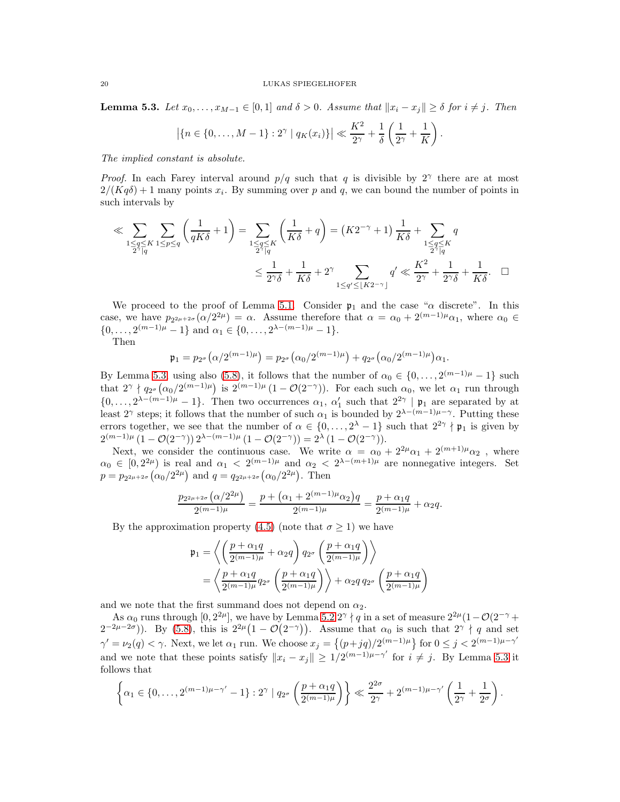<span id="page-19-0"></span>**Lemma 5.3.** Let  $x_0, \ldots, x_{M-1} \in [0, 1]$  and  $\delta > 0$ . Assume that  $||x_i - x_j|| \geq \delta$  for  $i \neq j$ . Then

$$
|\{n \in \{0, ..., M-1\} : 2^{\gamma} | q_K(x_i)\}| \ll \frac{K^2}{2^{\gamma}} + \frac{1}{\delta} \left(\frac{1}{2^{\gamma}} + \frac{1}{K}\right).
$$

The implied constant is absolute.

*Proof.* In each Farey interval around  $p/q$  such that q is divisible by 2<sup>γ</sup> there are at most  $2/(Kq\delta) + 1$  many points  $x_i$ . By summing over p and q, we can bound the number of points in such intervals by

$$
\ll \sum_{\substack{1 \leq q \leq K \\ 2^{\gamma} \mid q}} \sum_{1 \leq p \leq q} \left( \frac{1}{qK\delta} + 1 \right) = \sum_{\substack{1 \leq q \leq K \\ 2^{\gamma} \mid q}} \left( \frac{1}{K\delta} + q \right) = (K2^{-\gamma} + 1) \frac{1}{K\delta} + \sum_{\substack{1 \leq q \leq K \\ 2^{\gamma} \mid q}} q
$$
  

$$
\leq \frac{1}{2^{\gamma}\delta} + \frac{1}{K\delta} + 2^{\gamma} \sum_{\substack{1 \leq q' \leq \lfloor K2^{-\gamma} \rfloor}} q' \ll \frac{K^2}{2^{\gamma}} + \frac{1}{2^{\gamma}\delta} + \frac{1}{K\delta}. \quad \Box
$$

We proceed to the proof of Lemma [5.1.](#page-14-1) Consider  $\mathfrak{p}_1$  and the case " $\alpha$  discrete". In this case, we have  $p_{2^{2\mu+2\sigma}}(\alpha/2^{2\mu}) = \alpha$ . Assume therefore that  $\alpha = \alpha_0 + 2^{(m-1)\mu}\alpha_1$ , where  $\alpha_0 \in$  $\{0, \ldots, 2^{(m-1)\mu} - 1\}$  and  $\alpha_1 \in \{0, \ldots, 2^{\lambda - (m-1)\mu} - 1\}.$ 

Then

$$
\mathfrak{p}_1 = p_{2^{\sigma}}(\alpha/2^{(m-1)\mu}) = p_{2^{\sigma}}(\alpha_0/2^{(m-1)\mu}) + q_{2^{\sigma}}(\alpha_0/2^{(m-1)\mu})\alpha_1.
$$

By Lemma [5.3,](#page-19-0) using also [\(5.8\)](#page-14-2), it follows that the number of  $\alpha_0 \in \{0, \ldots, 2^{(m-1)\mu} - 1\}$  such that  $2^{\gamma} \nmid q_{2^{\sigma}}(\alpha_0/2^{(m-1)\mu})$  is  $2^{(m-1)\mu}(1-\mathcal{O}(2^{-\gamma}))$ . For each such  $\alpha_0$ , we let  $\alpha_1$  run through  $\{0,\ldots,2^{\lambda-(m-1)\mu}-1\}$ . Then two occurrences  $\alpha_1, \alpha'_1$  such that  $2^{2\gamma} \mid \mathfrak{p}_1$  are separated by at least 2<sup>γ</sup> steps; it follows that the number of such  $\alpha_1$  is bounded by  $2^{\lambda-(m-1)\mu-\gamma}$ . Putting these errors together, we see that the number of  $\alpha \in \{0, \ldots, 2^{\lambda} - 1\}$  such that  $2^{2\gamma} \nmid \mathfrak{p}_1$  is given by  $2^{(m-1)\mu} (1 - \mathcal{O}(2^{-\gamma})) 2^{\lambda - (m-1)\mu} (1 - \mathcal{O}(2^{-\gamma})) = 2^{\lambda} (1 - \mathcal{O}(2^{-\gamma})).$ 

Next, we consider the continuous case. We write  $\alpha = \alpha_0 + 2^{2\mu} \alpha_1 + 2^{(m+1)\mu} \alpha_2$ , where  $\alpha_0 \in [0, 2^{2\mu})$  is real and  $\alpha_1 < 2^{(m-1)\mu}$  and  $\alpha_2 < 2^{\lambda-(m+1)\mu}$  are nonnegative integers. Set  $p = p_{2^{2\mu+2\sigma}}(\alpha_0/2^{2\mu})$  and  $q = q_{2^{2\mu+2\sigma}}(\alpha_0/2^{2\mu})$ . Then

$$
\frac{p_{2^{2\mu+2\sigma}}(\alpha/2^{2\mu})}{2^{(m-1)\mu}} = \frac{p + (\alpha_1 + 2^{(m-1)\mu}\alpha_2)q}{2^{(m-1)\mu}} = \frac{p + \alpha_1q}{2^{(m-1)\mu}} + \alpha_2q.
$$

By the approximation property [\(4.5\)](#page-9-3) (note that  $\sigma \geq 1$ ) we have

$$
\mathfrak{p}_1 = \left\langle \left(\frac{p+\alpha_1 q}{2^{(m-1)\mu}} + \alpha_2 q\right) q_{2^\sigma} \left(\frac{p+\alpha_1 q}{2^{(m-1)\mu}}\right) \right\rangle
$$
  
= 
$$
\left\langle \frac{p+\alpha_1 q}{2^{(m-1)\mu}} q_{2^\sigma} \left(\frac{p+\alpha_1 q}{2^{(m-1)\mu}}\right) \right\rangle + \alpha_2 q q_{2^\sigma} \left(\frac{p+\alpha_1 q}{2^{(m-1)\mu}}\right)
$$

and we note that the first summand does not depend on  $\alpha_2$ .

As  $\alpha_0$  runs through  $[0, 2^{2\mu}]$ , we have by Lemma [5.2](#page-18-2)  $2^{\gamma} \nmid q$  in a set of measure  $2^{2\mu} (1 - \mathcal{O}(2^{-\gamma} +$  $(2^{-2\mu-2\sigma}))$ . By [\(5.8\)](#page-14-2), this is  $2^{2\mu}(1-\mathcal{O}(2^{-\gamma}))$ . Assume that  $\alpha_0$  is such that  $2^{\gamma} \nmid q$  and set  $\gamma' = \nu_2(q) < \gamma$ . Next, we let  $\alpha_1$  run. We choose  $x_j = \{(p+jq)/2^{(m-1)\mu}\}\$  for  $0 \le j < 2^{(m-1)\mu-\gamma'}$ and we note that these points satisfy  $||x_i - x_j|| \geq 1/2^{(m-1)\mu - \gamma'}$  for  $i \neq j$ . By Lemma [5.3](#page-19-0) it follows that

$$
\left\{\alpha_1 \in \{0,\ldots,2^{(m-1)\mu-\gamma'}-1\}:2^\gamma \mid q_{2^\sigma}\left(\frac{p+\alpha_1q}{2^{(m-1)\mu}}\right)\right\} \ll \frac{2^{2\sigma}}{2^\gamma} + 2^{(m-1)\mu-\gamma'}\left(\frac{1}{2^\gamma} + \frac{1}{2^\sigma}\right).
$$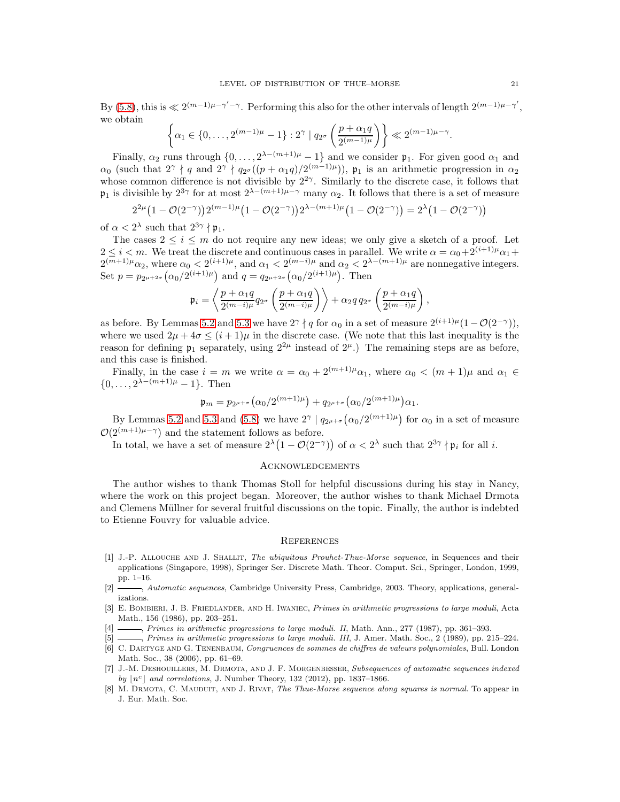By [\(5.8\)](#page-14-2), this is  $\ll 2^{(m-1)\mu-\gamma'-\gamma}$ . Performing this also for the other intervals of length  $2^{(m-1)\mu-\gamma'}$ , we obtain

$$
\left\{\alpha_1 \in \{0, \ldots, 2^{(m-1)\mu} - 1\} : 2^{\gamma} \mid q_{2^{\sigma}}\left(\frac{p + \alpha_1 q}{2^{(m-1)\mu}}\right) \right\} \ll 2^{(m-1)\mu - \gamma}.
$$

Finally,  $\alpha_2$  runs through  $\{0, \ldots, 2^{\lambda - (m+1)\mu} - 1\}$  and we consider  $\mathfrak{p}_1$ . For given good  $\alpha_1$  and  $\alpha_0$  (such that  $2^{\gamma} \nmid q$  and  $2^{\gamma} \nmid q_{2^{\sigma}}((p + \alpha_1 q)/2^{(m-1)\mu})$ ),  $\mathfrak{p}_1$  is an arithmetic progression in  $\alpha_2$ whose common difference is not divisible by  $2^{2\gamma}$ . Similarly to the discrete case, it follows that  $\mathfrak{p}_1$  is divisible by  $2^{3\gamma}$  for at most  $2^{\lambda-(m+1)\mu-\gamma}$  many  $\alpha_2$ . It follows that there is a set of measure

$$
2^{2\mu} \left(1 - \mathcal{O}(2^{-\gamma})\right) 2^{(m-1)\mu} \left(1 - \mathcal{O}(2^{-\gamma})\right) 2^{\lambda - (m+1)\mu} \left(1 - \mathcal{O}(2^{-\gamma})\right) = 2^{\lambda} \left(1 - \mathcal{O}(2^{-\gamma})\right)
$$

of  $\alpha < 2^{\lambda}$  such that  $2^{3\gamma} \nmid \mathfrak{p}_1$ .

The cases  $2 \leq i \leq m$  do not require any new ideas; we only give a sketch of a proof. Let  $2 \leq i < m$ . We treat the discrete and continuous cases in parallel. We write  $\alpha = \alpha_0 + 2^{(i+1)\mu} \alpha_1 +$  $2^{(m+1)\mu}\alpha_2$ , where  $\alpha_0 < 2^{(i+1)\mu}$ , and  $\alpha_1 < 2^{(m-i)\mu}$  and  $\alpha_2 < 2^{\lambda-(m+1)\mu}$  are nonnegative integers. Set  $p = p_{2^{\mu+2\sigma}}(\alpha_0/2^{(i+1)\mu})$  and  $q = q_{2^{\mu+2\sigma}}(\alpha_0/2^{(i+1)\mu})$ . Then

$$
\mathfrak{p}_i = \left\langle \frac{p+\alpha_1q}{2^{(m-i)\mu}} q_{2^{\sigma}} \left( \frac{p+\alpha_1q}{2^{(m-i)\mu}} \right) \right\rangle + \alpha_2q\, q_{2^{\sigma}} \left( \frac{p+\alpha_1q}{2^{(m-i)\mu}} \right)
$$

,

as before. By Lemmas [5.2](#page-18-2) and [5.3](#page-19-0) we have  $2^{\gamma} \nmid q$  for  $\alpha_0$  in a set of measure  $2^{(i+1)\mu}(1-\mathcal{O}(2^{-\gamma})),$ where we used  $2\mu + 4\sigma < (i + 1)\mu$  in the discrete case. (We note that this last inequality is the reason for defining  $\mathfrak{p}_1$  separately, using  $2^{2\mu}$  instead of  $2^{\mu}$ .) The remaining steps are as before, and this case is finished.

Finally, in the case  $i = m$  we write  $\alpha = \alpha_0 + 2^{(m+1)\mu} \alpha_1$ , where  $\alpha_0 < (m+1)\mu$  and  $\alpha_1 \in$  $\{0, \ldots, 2^{\lambda - (m+1)\mu} - 1\}.$  Then

$$
\mathfrak{p}_m = p_{2^{\mu+\sigma}}(\alpha_0/2^{(m+1)\mu}) + q_{2^{\mu+\sigma}}(\alpha_0/2^{(m+1)\mu})\alpha_1.
$$

By Lemmas [5.2](#page-18-2) and [5.3](#page-19-0) and [\(5.8\)](#page-14-2) we have  $2^{\gamma} \mid q_{2^{\mu+\sigma}}(\alpha_0/2^{(m+1)\mu})$  for  $\alpha_0$  in a set of measure  $\mathcal{O}(2^{(m+1)\mu-\gamma})$  and the statement follows as before.

In total, we have a set of measure  $2^{\lambda}(1 - \mathcal{O}(2^{-\gamma}))$  of  $\alpha < 2^{\lambda}$  such that  $2^{3\gamma} \nmid \mathfrak{p}_i$  for all i.

# **ACKNOWLEDGEMENTS**

The author wishes to thank Thomas Stoll for helpful discussions during his stay in Nancy, where the work on this project began. Moreover, the author wishes to thank Michael Drmota and Clemens Müllner for several fruitful discussions on the topic. Finally, the author is indebted to Etienne Fouvry for valuable advice.

#### **REFERENCES**

- <span id="page-20-0"></span>[1] J.-P. Allouche and J. Shallit, The ubiquitous Prouhet-Thue-Morse sequence, in Sequences and their applications (Singapore, 1998), Springer Ser. Discrete Math. Theor. Comput. Sci., Springer, London, 1999, pp. 1–16.
- <span id="page-20-1"></span>[2]  $\longrightarrow$ , Automatic sequences, Cambridge University Press, Cambridge, 2003. Theory, applications, generalizations.
- <span id="page-20-2"></span>[3] E. Bombieri, J. B. Friedlander, and H. Iwaniec, Primes in arithmetic progressions to large moduli, Acta Math., 156 (1986), pp. 203–251.
- <span id="page-20-3"></span> $-$ , Primes in arithmetic progressions to large moduli. II, Math. Ann., 277 (1987), pp. 361–393.
- <span id="page-20-4"></span> $[5]$  , Primes in arithmetic progressions to large moduli. III, J. Amer. Math. Soc., 2 (1989), pp. 215–224.
- <span id="page-20-6"></span>[6] C. Dartyge and G. Tenenbaum, Congruences de sommes de chiffres de valeurs polynomiales, Bull. London Math. Soc., 38 (2006), pp. 61–69.
- <span id="page-20-5"></span>[7] J.-M. Deshouillers, M. Drmota, and J. F. Morgenbesser, Subsequences of automatic sequences indexed by  $\lfloor n^c \rfloor$  and correlations, J. Number Theory, 132 (2012), pp. 1837–1866.
- <span id="page-20-7"></span>[8] M. DRMOTA, C. MAUDUIT, AND J. RIVAT, The Thue-Morse sequence along squares is normal. To appear in J. Eur. Math. Soc.